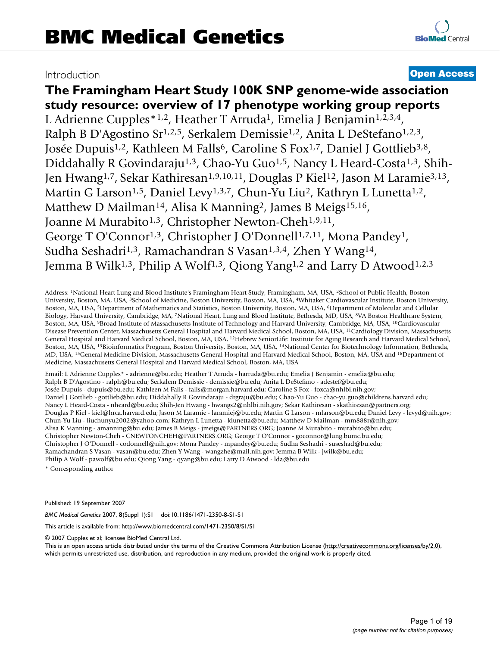**The Framingham Heart Study 100K SNP genome-wide association study resource: overview of 17 phenotype working group reports** L Adrienne Cupples<sup>\*1,2</sup>, Heather T Arruda<sup>1</sup>, Emelia J Benjamin<sup>1,2,3,4</sup>, Ralph B D'Agostino Sr<sup>1,2,5</sup>, Serkalem Demissie<sup>1,2</sup>, Anita L DeStefano<sup>1,2,3</sup>, Josée Dupuis<sup>1,2</sup>, Kathleen M Falls<sup>6</sup>, Caroline S Fox<sup>1,7</sup>, Daniel J Gottlieb<sup>3,8</sup>, Diddahally R Govindaraju<sup>1,3</sup>, Chao-Yu Guo<sup>1,5</sup>, Nancy L Heard-Costa<sup>1,3</sup>, Shih-Jen Hwang<sup>1,7</sup>, Sekar Kathiresan<sup>1,9,10,11</sup>, Douglas P Kiel<sup>12</sup>, Jason M Laramie<sup>3,13</sup>, Martin G Larson<sup>1,5</sup>, Daniel Levy<sup>1,3,7</sup>, Chun-Yu Liu<sup>2</sup>, Kathryn L Lunetta<sup>1,2</sup>, Matthew D Mailman<sup>14</sup>, Alisa K Manning<sup>2</sup>, James B Meigs<sup>15,16</sup>, Joanne M Murabito<sup>1,3</sup>, Christopher Newton-Cheh<sup>1,9,11</sup>, George T O'Connor<sup>1,3</sup>, Christopher J O'Donnell<sup>1,7,11</sup>, Mona Pandey<sup>1</sup>, Sudha Seshadri<sup>1,3</sup>, Ramachandran S Vasan<sup>1,3,4</sup>, Zhen Y Wang<sup>14</sup>, Jemma B Wilk<sup>1,3</sup>, Philip A Wolf<sup>1,3</sup>, Qiong Yang<sup>1,2</sup> and Larry D Atwood<sup>1,2,3</sup>

Address: 1National Heart Lung and Blood Institute's Framingham Heart Study, Framingham, MA, USA, 2School of Public Health, Boston University, Boston, MA, USA, 3School of Medicine, Boston University, Boston, MA, USA, 4Whitaker Cardiovascular Institute, Boston University, Boston, MA, USA, 5Department of Mathematics and Statistics, Boston University, Boston, MA, USA, 6Department of Molecular and Cellular Biology, Harvard University, Cambridge, MA, 7National Heart, Lung and Blood Institute, Bethesda, MD, USA, 8VA Boston Healthcare System, Boston, MA, USA, 9Broad Institute of Massachusetts Institute of Technology and Harvard University, Cambridge, MA, USA, 10Cardiovascular Disease Prevention Center, Massachusetts General Hospital and Harvard Medical School, Boston, MA, USA, 11Cardiology Division, Massachusetts General Hospital and Harvard Medical School, Boston, MA, USA, 12Hebrew SeniorLife: Institute for Aging Research and Harvard Medical School, Boston, MA, USA, 13Bioinformatics Program, Boston University, Boston, MA, USA, 14National Center for Biotechnology Information, Bethesda, MD, USA, <sup>15</sup>General Medicine Division, Massachusetts General Hospital and Harvard Medical School, Boston, MA, USA and <sup>16</sup>Department of Medicine, Massachusetts General Hospital and Harvard Medical School, Boston, MA, USA

Email: L Adrienne Cupples\* - adrienne@bu.edu; Heather T Arruda - harruda@bu.edu; Emelia J Benjamin - emelia@bu.edu; Ralph B D'Agostino - ralph@bu.edu; Serkalem Demissie - demissie@bu.edu; Anita L DeStefano - adestef@bu.edu; Josée Dupuis - dupuis@bu.edu; Kathleen M Falls - falls@morgan.harvard.edu; Caroline S Fox - foxca@nhlbi.nih.gov; Daniel J Gottlieb - gottlieb@bu.edu; Diddahally R Govindaraju - drgraju@bu.edu; Chao-Yu Guo - chao-yu.guo@childrens.harvard.edu; Nancy L Heard-Costa - nheard@bu.edu; Shih-Jen Hwang - hwangs2@nhlbi.nih.gov; Sekar Kathiresan - skathiresan@partners.org; Douglas P Kiel - kiel@hrca.harvard.edu; Jason M Laramie - laramiej@bu.edu; Martin G Larson - mlarson@bu.edu; Daniel Levy - levyd@nih.gov; Chun-Yu Liu - liuchunyu2002@yahoo.com; Kathryn L Lunetta - klunetta@bu.edu; Matthew D Mailman - mm888r@nih.gov; Alisa K Manning - amanning@bu.edu; James B Meigs - jmeigs@PARTNERS.ORG; Joanne M Murabito - murabito@bu.edu; Christopher Newton-Cheh - CNEWTONCHEH@PARTNERS.ORG; George T O'Connor - goconnor@lung.bumc.bu.edu; Christopher J O'Donnell - codonnell@nih.gov; Mona Pandey - mpandey@bu.edu; Sudha Seshadri - suseshad@bu.edu; Ramachandran S Vasan - vasan@bu.edu; Zhen Y Wang - wangzhe@mail.nih.gov; Jemma B Wilk - jwilk@bu.edu; Philip A Wolf - pawolf@bu.edu; Qiong Yang - qyang@bu.edu; Larry D Atwood - lda@bu.edu

\* Corresponding author

Published: 19 September 2007

*BMC Medical Genetics* 2007, **8**(Suppl 1):S1 doi:10.1186/1471-2350-8-S1-S1

[This article is available from: http://www.biomedcentral.com/1471-2350/8/S1/S1](http://www.biomedcentral.com/1471-2350/8/S1/S1)

© 2007 Cupples et al; licensee BioMed Central Ltd.

This is an open access article distributed under the terms of the Creative Commons Attribution License [\(http://creativecommons.org/licenses/by/2.0\)](http://creativecommons.org/licenses/by/2.0), which permits unrestricted use, distribution, and reproduction in any medium, provided the original work is properly cited.

# Introduction **[Open Access](http://www.biomedcentral.com/info/about/charter/)**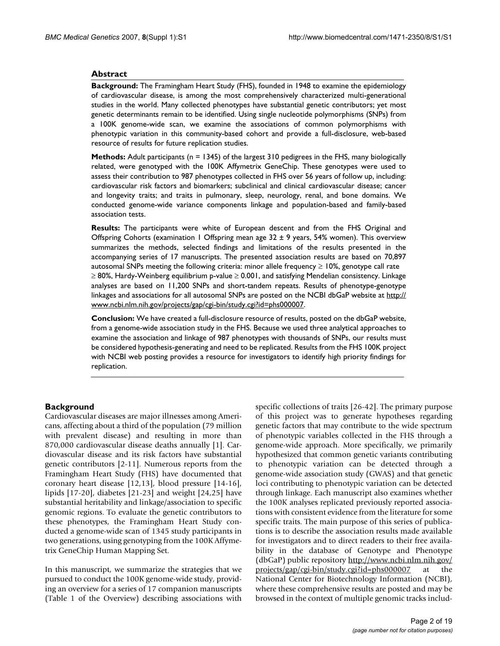#### **Abstract**

**Background:** The Framingham Heart Study (FHS), founded in 1948 to examine the epidemiology of cardiovascular disease, is among the most comprehensively characterized multi-generational studies in the world. Many collected phenotypes have substantial genetic contributors; yet most genetic determinants remain to be identified. Using single nucleotide polymorphisms (SNPs) from a 100K genome-wide scan, we examine the associations of common polymorphisms with phenotypic variation in this community-based cohort and provide a full-disclosure, web-based resource of results for future replication studies.

**Methods:** Adult participants (n = 1345) of the largest 310 pedigrees in the FHS, many biologically related, were genotyped with the 100K Affymetrix GeneChip. These genotypes were used to assess their contribution to 987 phenotypes collected in FHS over 56 years of follow up, including: cardiovascular risk factors and biomarkers; subclinical and clinical cardiovascular disease; cancer and longevity traits; and traits in pulmonary, sleep, neurology, renal, and bone domains. We conducted genome-wide variance components linkage and population-based and family-based association tests.

**Results:** The participants were white of European descent and from the FHS Original and Offspring Cohorts (examination 1 Offspring mean age  $32 \pm 9$  years, 54% women). This overview summarizes the methods, selected findings and limitations of the results presented in the accompanying series of 17 manuscripts. The presented association results are based on 70,897 autosomal SNPs meeting the following criteria: minor allele frequency  $\geq$  10%, genotype call rate ≥ 80%, Hardy-Weinberg equilibrium p-value ≥ 0.001, and satisfying Mendelian consistency. Linkage analyses are based on 11,200 SNPs and short-tandem repeats. Results of phenotype-genotype linkages and associations for all autosomal SNPs are posted on the NCBI dbGaP website at [http://](http://www.ncbi.nlm.nih.gov/projects/gap/cgi-bin/study.cgi?id=phs000007) [www.ncbi.nlm.nih.gov/projects/gap/cgi-bin/study.cgi?id=phs000007](http://www.ncbi.nlm.nih.gov/projects/gap/cgi-bin/study.cgi?id=phs000007).

**Conclusion:** We have created a full-disclosure resource of results, posted on the dbGaP website, from a genome-wide association study in the FHS. Because we used three analytical approaches to examine the association and linkage of 987 phenotypes with thousands of SNPs, our results must be considered hypothesis-generating and need to be replicated. Results from the FHS 100K project with NCBI web posting provides a resource for investigators to identify high priority findings for replication.

### **Background**

Cardiovascular diseases are major illnesses among Americans, affecting about a third of the population (79 million with prevalent disease) and resulting in more than 870,000 cardiovascular disease deaths annually [1]. Cardiovascular disease and its risk factors have substantial genetic contributors [2-11]. Numerous reports from the Framingham Heart Study (FHS) have documented that coronary heart disease [12,13], blood pressure [14-16], lipids [17-20], diabetes [21-23] and weight [24,25] have substantial heritability and linkage/association to specific genomic regions. To evaluate the genetic contributors to these phenotypes, the Framingham Heart Study conducted a genome-wide scan of 1345 study participants in two generations, using genotyping from the 100K Affymetrix GeneChip Human Mapping Set.

In this manuscript, we summarize the strategies that we pursued to conduct the 100K genome-wide study, providing an overview for a series of 17 companion manuscripts (Table 1 of the Overview) describing associations with

specific collections of traits [26-42]. The primary purpose of this project was to generate hypotheses regarding genetic factors that may contribute to the wide spectrum of phenotypic variables collected in the FHS through a genome-wide approach. More specifically, we primarily hypothesized that common genetic variants contributing to phenotypic variation can be detected through a genome-wide association study (GWAS) and that genetic loci contributing to phenotypic variation can be detected through linkage. Each manuscript also examines whether the 100K analyses replicated previously reported associations with consistent evidence from the literature for some specific traits. The main purpose of this series of publications is to describe the association results made available for investigators and to direct readers to their free availability in the database of Genotype and Phenotype (dbGaP) public repository [http://www.ncbi.nlm.nih.gov/](http://www.ncbi.nlm.nih.gov/projects/gap/cgi-bin/study.cgi?id=phs000007) [projects/gap/cgi-bin/study.cgi?id=phs000007](http://www.ncbi.nlm.nih.gov/projects/gap/cgi-bin/study.cgi?id=phs000007) at the National Center for Biotechnology Information (NCBI), where these comprehensive results are posted and may be browsed in the context of multiple genomic tracks includ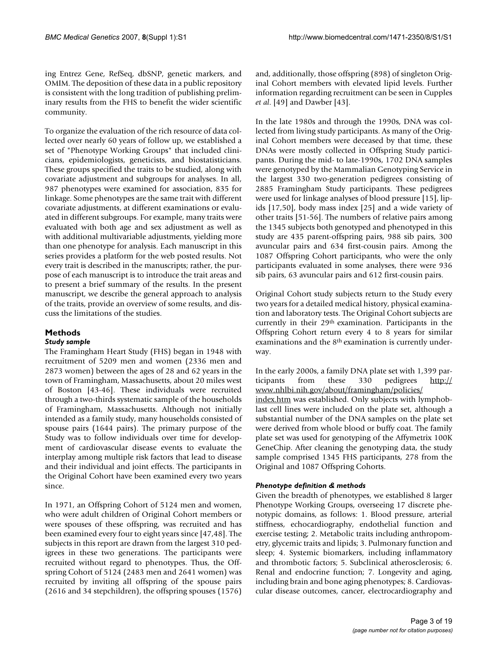ing Entrez Gene, RefSeq, dbSNP, genetic markers, and OMIM. The deposition of these data in a public repository is consistent with the long tradition of publishing preliminary results from the FHS to benefit the wider scientific community.

To organize the evaluation of the rich resource of data collected over nearly 60 years of follow up, we established a set of "Phenotype Working Groups" that included clinicians, epidemiologists, geneticists, and biostatisticians. These groups specified the traits to be studied, along with covariate adjustment and subgroups for analyses. In all, 987 phenotypes were examined for association, 835 for linkage. Some phenotypes are the same trait with different covariate adjustments, at different examinations or evaluated in different subgroups. For example, many traits were evaluated with both age and sex adjustment as well as with additional multivariable adjustments, yielding more than one phenotype for analysis. Each manuscript in this series provides a platform for the web posted results. Not every trait is described in the manuscripts; rather, the purpose of each manuscript is to introduce the trait areas and to present a brief summary of the results. In the present manuscript, we describe the general approach to analysis of the traits, provide an overview of some results, and discuss the limitations of the studies.

# **Methods**

### *Study sample*

The Framingham Heart Study (FHS) began in 1948 with recruitment of 5209 men and women (2336 men and 2873 women) between the ages of 28 and 62 years in the town of Framingham, Massachusetts, about 20 miles west of Boston [43-46]. These individuals were recruited through a two-thirds systematic sample of the households of Framingham, Massachusetts. Although not initially intended as a family study, many households consisted of spouse pairs (1644 pairs). The primary purpose of the Study was to follow individuals over time for development of cardiovascular disease events to evaluate the interplay among multiple risk factors that lead to disease and their individual and joint effects. The participants in the Original Cohort have been examined every two years since.

In 1971, an Offspring Cohort of 5124 men and women, who were adult children of Original Cohort members or were spouses of these offspring, was recruited and has been examined every four to eight years since [47,48]. The subjects in this report are drawn from the largest 310 pedigrees in these two generations. The participants were recruited without regard to phenotypes. Thus, the Offspring Cohort of 5124 (2483 men and 2641 women) was recruited by inviting all offspring of the spouse pairs (2616 and 34 stepchildren), the offspring spouses (1576)

and, additionally, those offspring (898) of singleton Original Cohort members with elevated lipid levels. Further information regarding recruitment can be seen in Cupples *et al*. [49] and Dawber [43].

In the late 1980s and through the 1990s, DNA was collected from living study participants. As many of the Original Cohort members were deceased by that time, these DNAs were mostly collected in Offspring Study participants. During the mid- to late-1990s, 1702 DNA samples were genotyped by the Mammalian Genotyping Service in the largest 330 two-generation pedigrees consisting of 2885 Framingham Study participants. These pedigrees were used for linkage analyses of blood pressure [15], lipids [17,50], body mass index [25] and a wide variety of other traits [51-56]. The numbers of relative pairs among the 1345 subjects both genotyped and phenotyped in this study are 435 parent-offspring pairs, 988 sib pairs, 300 avuncular pairs and 634 first-cousin pairs. Among the 1087 Offspring Cohort participants, who were the only participants evaluated in some analyses, there were 936 sib pairs, 63 avuncular pairs and 612 first-cousin pairs.

Original Cohort study subjects return to the Study every two years for a detailed medical history, physical examination and laboratory tests. The Original Cohort subjects are currently in their 29th examination. Participants in the Offspring Cohort return every 4 to 8 years for similar examinations and the 8<sup>th</sup> examination is currently underway.

In the early 2000s, a family DNA plate set with 1,399 participants from these 330 pedigrees [http://](http://www.nhlbi.nih.gov/about/framingham/policies/index.htm) [www.nhlbi.nih.gov/about/framingham/policies/](http://www.nhlbi.nih.gov/about/framingham/policies/index.htm) [index.htm](http://www.nhlbi.nih.gov/about/framingham/policies/index.htm) was established. Only subjects with lymphoblast cell lines were included on the plate set, although a substantial number of the DNA samples on the plate set were derived from whole blood or buffy coat. The family plate set was used for genotyping of the Affymetrix 100K GeneChip. After cleaning the genotyping data, the study sample comprised 1345 FHS participants, 278 from the Original and 1087 Offspring Cohorts.

# *Phenotype definition & methods*

Given the breadth of phenotypes, we established 8 larger Phenotype Working Groups, overseeing 17 discrete phenotypic domains, as follows: 1. Blood pressure, arterial stiffness, echocardiography, endothelial function and exercise testing; 2. Metabolic traits including anthropometry, glycemic traits and lipids; 3. Pulmonary function and sleep; 4. Systemic biomarkers, including inflammatory and thrombotic factors; 5. Subclinical atherosclerosis; 6. Renal and endocrine function; 7. Longevity and aging, including brain and bone aging phenotypes; 8. Cardiovascular disease outcomes, cancer, electrocardiography and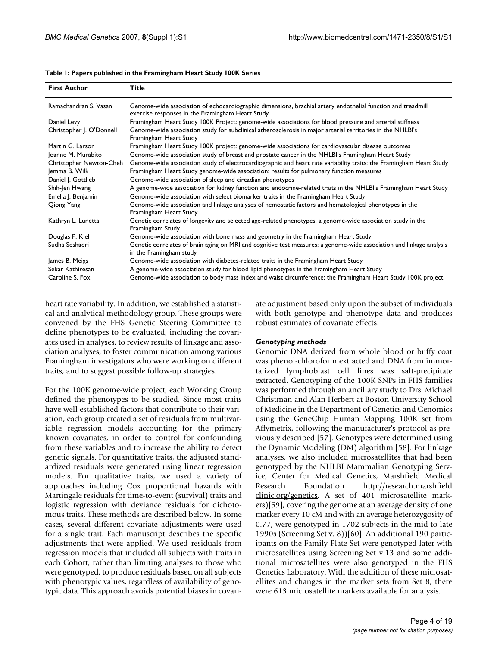| <b>First Author</b>      | Title                                                                                                                                                           |
|--------------------------|-----------------------------------------------------------------------------------------------------------------------------------------------------------------|
| Ramachandran S. Vasan    | Genome-wide association of echocardiographic dimensions, brachial artery endothelial function and treadmill<br>exercise responses in the Framingham Heart Study |
| Daniel Levy              | Framingham Heart Study 100K Project: genome-wide associations for blood pressure and arterial stiffness                                                         |
| Christopher J. O'Donnell | Genome-wide association study for subclinical atherosclerosis in major arterial territories in the NHLBI's<br>Framingham Heart Study                            |
| Martin G. Larson         | Framingham Heart Study 100K project: genome-wide associations for cardiovascular disease outcomes                                                               |
| Joanne M. Murabito       | Genome-wide association study of breast and prostate cancer in the NHLBI's Framingham Heart Study                                                               |
| Christopher Newton-Cheh  | Genome-wide association study of electrocardiographic and heart rate variability traits: the Framingham Heart Study                                             |
| Jemma B. Wilk            | Framingham Heart Study genome-wide association: results for pulmonary function measures                                                                         |
| Daniel J. Gottlieb       | Genome-wide association of sleep and circadian phenotypes                                                                                                       |
| Shih-Jen Hwang           | A genome-wide association for kidney function and endocrine-related traits in the NHLBI's Framingham Heart Study                                                |
| Emelia J. Benjamin       | Genome-wide association with select biomarker traits in the Framingham Heart Study                                                                              |
| Qiong Yang               | Genome-wide association and linkage analyses of hemostatic factors and hematological phenotypes in the<br>Framingham Heart Study                                |
| Kathryn L. Lunetta       | Genetic correlates of longevity and selected age-related phenotypes: a genome-wide association study in the<br>Framingham Study                                 |
| Douglas P. Kiel          | Genome-wide association with bone mass and geometry in the Framingham Heart Study                                                                               |
| Sudha Seshadri           | Genetic correlates of brain aging on MRI and cognitive test measures: a genome-wide association and linkage analysis<br>in the Framingham study                 |
| James B. Meigs           | Genome-wide association with diabetes-related traits in the Framingham Heart Study                                                                              |
| Sekar Kathiresan         | A genome-wide association study for blood lipid phenotypes in the Framingham Heart Study                                                                        |
| Caroline S. Fox          | Genome-wide association to body mass index and waist circumference: the Framingham Heart Study 100K project                                                     |

#### **Table 1: Papers published in the Framingham Heart Study 100K Series**

heart rate variability. In addition, we established a statistical and analytical methodology group. These groups were convened by the FHS Genetic Steering Committee to define phenotypes to be evaluated, including the covariates used in analyses, to review results of linkage and association analyses, to foster communication among various Framingham investigators who were working on different traits, and to suggest possible follow-up strategies.

For the 100K genome-wide project, each Working Group defined the phenotypes to be studied. Since most traits have well established factors that contribute to their variation, each group created a set of residuals from multivariable regression models accounting for the primary known covariates, in order to control for confounding from these variables and to increase the ability to detect genetic signals. For quantitative traits, the adjusted standardized residuals were generated using linear regression models. For qualitative traits, we used a variety of approaches including Cox proportional hazards with Martingale residuals for time-to-event (survival) traits and logistic regression with deviance residuals for dichotomous traits. These methods are described below. In some cases, several different covariate adjustments were used for a single trait. Each manuscript describes the specific adjustments that were applied. We used residuals from regression models that included all subjects with traits in each Cohort, rather than limiting analyses to those who were genotyped, to produce residuals based on all subjects with phenotypic values, regardless of availability of genotypic data. This approach avoids potential biases in covariate adjustment based only upon the subset of individuals with both genotype and phenotype data and produces robust estimates of covariate effects.

### *Genotyping methods*

Genomic DNA derived from whole blood or buffy coat was phenol-chloroform extracted and DNA from immortalized lymphoblast cell lines was salt-precipitate extracted. Genotyping of the 100K SNPs in FHS families was performed through an ancillary study to Drs. Michael Christman and Alan Herbert at Boston University School of Medicine in the Department of Genetics and Genomics using the GeneChip Human Mapping 100K set from Affymetrix, following the manufacturer's protocol as previously described [57]. Genotypes were determined using the Dynamic Modeling (DM) algorithm [58]. For linkage analyses, we also included microsatellites that had been genotyped by the NHLBI Mammalian Genotyping Service, Center for Medical Genetics, Marshfield Medical Research Foundation [http://research.marshfield](http://research.marshfieldclinic.org/genetics) [clinic.org/genetics.](http://research.marshfieldclinic.org/genetics) A set of 401 microsatellite markers)[59], covering the genome at an average density of one marker every 10 cM and with an average heterozygosity of 0.77, were genotyped in 1702 subjects in the mid to late 1990s (Screening Set v. 8))[60]. An additional 190 participants on the Family Plate Set were genotyped later with microsatellites using Screening Set v.13 and some additional microsatellites were also genotyped in the FHS Genetics Laboratory. With the addition of these microsatellites and changes in the marker sets from Set 8, there were 613 microsatellite markers available for analysis.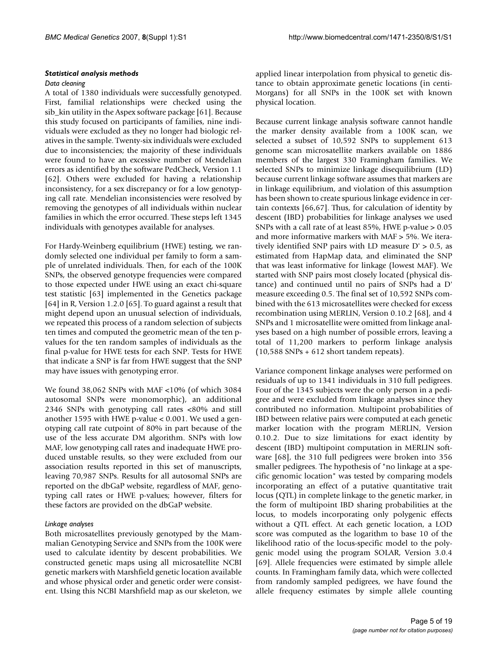#### *Statistical analysis methods*

#### *Data cleaning*

A total of 1380 individuals were successfully genotyped. First, familial relationships were checked using the sib\_kin utility in the Aspex software package [61]. Because this study focused on participants of families, nine individuals were excluded as they no longer had biologic relatives in the sample. Twenty-six individuals were excluded due to inconsistencies; the majority of these individuals were found to have an excessive number of Mendelian errors as identified by the software PedCheck, Version 1.1 [62]. Others were excluded for having a relationship inconsistency, for a sex discrepancy or for a low genotyping call rate. Mendelian inconsistencies were resolved by removing the genotypes of all individuals within nuclear families in which the error occurred. These steps left 1345 individuals with genotypes available for analyses.

For Hardy-Weinberg equilibrium (HWE) testing, we randomly selected one individual per family to form a sample of unrelated individuals. Then, for each of the 100K SNPs, the observed genotype frequencies were compared to those expected under HWE using an exact chi-square test statistic [63] implemented in the Genetics package [64] in R, Version 1.2.0 [65]. To guard against a result that might depend upon an unusual selection of individuals, we repeated this process of a random selection of subjects ten times and computed the geometric mean of the ten pvalues for the ten random samples of individuals as the final p-value for HWE tests for each SNP. Tests for HWE that indicate a SNP is far from HWE suggest that the SNP may have issues with genotyping error.

We found 38,062 SNPs with MAF <10% (of which 3084 autosomal SNPs were monomorphic), an additional 2346 SNPs with genotyping call rates <80% and still another 1595 with HWE p-value < 0.001. We used a genotyping call rate cutpoint of 80% in part because of the use of the less accurate DM algorithm. SNPs with low MAF, low genotyping call rates and inadequate HWE produced unstable results, so they were excluded from our association results reported in this set of manuscripts, leaving 70,987 SNPs. Results for all autosomal SNPs are reported on the dbGaP website, regardless of MAF, genotyping call rates or HWE p-values; however, filters for these factors are provided on the dbGaP website.

### *Linkage analyses*

Both microsatellites previously genotyped by the Mammalian Genotyping Service and SNPs from the 100K were used to calculate identity by descent probabilities. We constructed genetic maps using all microsatellite NCBI genetic markers with Marshfield genetic location available and whose physical order and genetic order were consistent. Using this NCBI Marshfield map as our skeleton, we

applied linear interpolation from physical to genetic distance to obtain approximate genetic locations (in centi-Morgans) for all SNPs in the 100K set with known physical location.

Because current linkage analysis software cannot handle the marker density available from a 100K scan, we selected a subset of 10,592 SNPs to supplement 613 genome scan microsatellite markers available on 1886 members of the largest 330 Framingham families. We selected SNPs to minimize linkage disequilibrium (LD) because current linkage software assumes that markers are in linkage equilibrium, and violation of this assumption has been shown to create spurious linkage evidence in certain contexts [66,67]. Thus, for calculation of identity by descent (IBD) probabilities for linkage analyses we used SNPs with a call rate of at least 85%, HWE p-value > 0.05 and more informative markers with MAF > 5%. We iteratively identified SNP pairs with LD measure  $D' > 0.5$ , as estimated from HapMap data, and eliminated the SNP that was least informative for linkage (lowest MAF). We started with SNP pairs most closely located (physical distance) and continued until no pairs of SNPs had a D' measure exceeding 0.5. The final set of 10,592 SNPs combined with the 613 microsatellites were checked for excess recombination using MERLIN, Version 0.10.2 [68], and 4 SNPs and 1 microsatellite were omitted from linkage analyses based on a high number of possible errors, leaving a total of 11,200 markers to perform linkage analysis (10,588 SNPs + 612 short tandem repeats).

Variance component linkage analyses were performed on residuals of up to 1341 individuals in 310 full pedigrees. Four of the 1345 subjects were the only person in a pedigree and were excluded from linkage analyses since they contributed no information. Multipoint probabilities of IBD between relative pairs were computed at each genetic marker location with the program MERLIN, Version 0.10.2. Due to size limitations for exact identity by descent (IBD) multipoint computation in MERLIN software [68], the 310 full pedigrees were broken into 356 smaller pedigrees. The hypothesis of "no linkage at a specific genomic location" was tested by comparing models incorporating an effect of a putative quantitative trait locus (QTL) in complete linkage to the genetic marker, in the form of multipoint IBD sharing probabilities at the locus, to models incorporating only polygenic effects without a QTL effect. At each genetic location, a LOD score was computed as the logarithm to base 10 of the likelihood ratio of the locus-specific model to the polygenic model using the program SOLAR, Version 3.0.4 [69]. Allele frequencies were estimated by simple allele counts. In Framingham family data, which were collected from randomly sampled pedigrees, we have found the allele frequency estimates by simple allele counting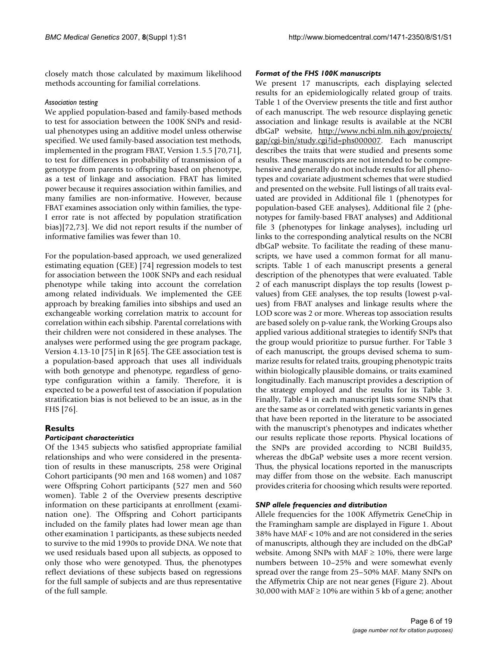closely match those calculated by maximum likelihood methods accounting for familial correlations.

# *Association testing*

We applied population-based and family-based methods to test for association between the 100K SNPs and residual phenotypes using an additive model unless otherwise specified. We used family-based association test methods, implemented in the program FBAT, Version 1.5.5 [70,71], to test for differences in probability of transmission of a genotype from parents to offspring based on phenotype, as a test of linkage and association. FBAT has limited power because it requires association within families, and many families are non-informative. However, because FBAT examines association only within families, the type-I error rate is not affected by population stratification bias)[72,73]. We did not report results if the number of informative families was fewer than 10.

For the population-based approach, we used generalized estimating equation (GEE) [74] regression models to test for association between the 100K SNPs and each residual phenotype while taking into account the correlation among related individuals. We implemented the GEE approach by breaking families into sibships and used an exchangeable working correlation matrix to account for correlation within each sibship. Parental correlations with their children were not considered in these analyses. The analyses were performed using the gee program package, Version 4.13-10 [75] in R [65]. The GEE association test is a population-based approach that uses all individuals with both genotype and phenotype, regardless of genotype configuration within a family. Therefore, it is expected to be a powerful test of association if population stratification bias is not believed to be an issue, as in the FHS [76].

# **Results**

# *Participant characteristics*

Of the 1345 subjects who satisfied appropriate familial relationships and who were considered in the presentation of results in these manuscripts, 258 were Original Cohort participants (90 men and 168 women) and 1087 were Offspring Cohort participants (527 men and 560 women). Table 2 of the Overview presents descriptive information on these participants at enrollment (examination one). The Offspring and Cohort participants included on the family plates had lower mean age than other examination 1 participants, as these subjects needed to survive to the mid 1990s to provide DNA. We note that we used residuals based upon all subjects, as opposed to only those who were genotyped. Thus, the phenotypes reflect deviations of these subjects based on regressions for the full sample of subjects and are thus representative of the full sample.

# *Format of the FHS 100K manuscripts*

We present 17 manuscripts, each displaying selected results for an epidemiologically related group of traits. Table 1 of the Overview presents the title and first author of each manuscript. The web resource displaying genetic association and linkage results is available at the NCBI dbGaP website, [http://www.ncbi.nlm.nih.gov/projects/](http://www.ncbi.nlm.nih.gov/projects/gap/cgi-bin/study.cgi?id=phs000007) [gap/cgi-bin/study.cgi?id=phs000007.](http://www.ncbi.nlm.nih.gov/projects/gap/cgi-bin/study.cgi?id=phs000007) Each manuscript describes the traits that were studied and presents some results. These manuscripts are not intended to be comprehensive and generally do not include results for all phenotypes and covariate adjustment schemes that were studied and presented on the website. Full listings of all traits evaluated are provided in Additional file 1 (phenotypes for population-based GEE analyses), Additional file 2 (phenotypes for family-based FBAT analyses) and Additional file 3 (phenotypes for linkage analyses), including url links to the corresponding analytical results on the NCBI dbGaP website. To facilitate the reading of these manuscripts, we have used a common format for all manuscripts. Table 1 of each manuscript presents a general description of the phenotypes that were evaluated. Table 2 of each manuscript displays the top results (lowest pvalues) from GEE analyses, the top results (lowest p-values) from FBAT analyses and linkage results where the LOD score was 2 or more. Whereas top association results are based solely on p-value rank, the Working Groups also applied various additional strategies to identify SNPs that the group would prioritize to pursue further. For Table 3 of each manuscript, the groups devised schema to summarize results for related traits, grouping phenotypic traits within biologically plausible domains, or traits examined longitudinally. Each manuscript provides a description of the strategy employed and the results for its Table 3. Finally, Table 4 in each manuscript lists some SNPs that are the same as or correlated with genetic variants in genes that have been reported in the literature to be associated with the manuscript's phenotypes and indicates whether our results replicate those reports. Physical locations of the SNPs are provided according to NCBI Build35, whereas the dbGaP website uses a more recent version. Thus, the physical locations reported in the manuscripts may differ from those on the website. Each manuscript provides criteria for choosing which results were reported.

### *SNP allele frequencies and distribution*

Allele frequencies for the 100K Affymetrix GeneChip in the Framingham sample are displayed in Figure 1. About 38% have MAF < 10% and are not considered in the series of manuscripts, although they are included on the dbGaP website. Among SNPs with MAF  $\geq$  10%, there were large numbers between 10–25% and were somewhat evenly spread over the range from 25–50% MAF. Many SNPs on the Affymetrix Chip are not near genes (Figure 2). About 30,000 with MAF  $\geq 10\%$  are within 5 kb of a gene; another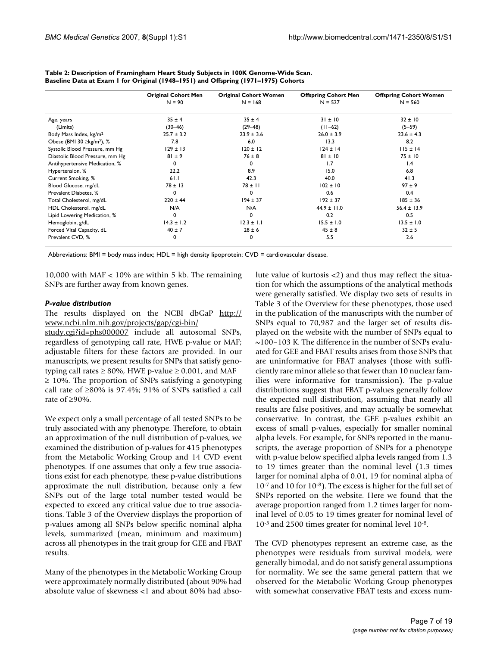|                                       | <b>Original Cohort Men</b><br>$N = 90$ | <b>Original Cohort Women</b><br>$N = 168$ | <b>Offspring Cohort Men</b><br>$N = 527$ | <b>Offspring Cohort Women</b><br>$N = 560$ |
|---------------------------------------|----------------------------------------|-------------------------------------------|------------------------------------------|--------------------------------------------|
| Age, years                            | $35 \pm 4$                             | $35 \pm 4$                                | $31 \pm 10$                              | $32 \pm 10$                                |
| (Limits)                              | $(30 - 46)$                            | $(29 - 48)$                               | $(11-62)$                                | $(5 - 59)$                                 |
| Body Mass Index, kg/m <sup>2</sup>    | $25.7 \pm 3.2$                         | $23.9 \pm 3.6$                            | $26.0 \pm 3.9$                           | $23.6 \pm 4.3$                             |
| Obese (BMI 30 ≥kg/m <sup>2</sup> ), % | 7.8                                    | 6.0                                       | 13.3                                     | 8.2                                        |
| Systolic Blood Pressure, mm Hg        | $129 \pm 13$                           | $120 \pm 12$                              | $124 \pm 14$                             | $115 \pm 14$                               |
| Diastolic Blood Pressure, mm Hg       | $81 \pm 9$                             | $76 \pm 8$                                | $81 \pm 10$                              | $75 \pm 10$                                |
| Antihypertensive Medication, %        | 0                                      | $\Omega$                                  | 1.7                                      | 1.4                                        |
| Hypertension, %                       | 22.2                                   | 8.9                                       | 15.0                                     | 6.8                                        |
| Current Smoking, %                    | 61.1                                   | 42.3                                      | 40.0                                     | 41.3                                       |
| Blood Glucose, mg/dL                  | $78 \pm 13$                            | $78 \pm 11$                               | $102 \pm 10$                             | $97 \pm 9$                                 |
| Prevalent Diabetes, %                 | 0                                      | $\mathbf 0$                               | 0.6                                      | 0.4                                        |
| Total Cholesterol, mg/dL              | $220 \pm 44$                           | $194 \pm 37$                              | $192 \pm 37$                             | $185 \pm 36$                               |
| HDL Cholesterol, mg/dL                | N/A                                    | N/A                                       | $44.9 \pm 11.0$                          | $56.4 \pm 13.9$                            |
| Lipid Lowering Medication, %          | $\mathbf 0$                            | 0                                         | 0.2                                      | 0.5                                        |
| Hemoglobin, g/dL                      | $14.3 \pm 1.2$                         | $12.3 \pm 1.1$                            | $15.5 \pm 1.0$                           | $13.5 \pm 1.0$                             |
| Forced Vital Capacity, dL             | $40 \pm 7$                             | $28 \pm 6$                                | $45 \pm 8$                               | $32 \pm 5$                                 |
| Prevalent CVD, %                      | 0                                      | 0                                         | 5.5                                      | 2.6                                        |

**Table 2: Description of Framingham Heart Study Subjects in 100K Genome-Wide Scan. Baseline Data at Exam 1 for Original (1948–1951) and Offspring (1971–1975) Cohorts**

Abbreviations: BMI = body mass index; HDL = high density lipoprotein; CVD = cardiovascular disease.

10,000 with MAF < 10% are within 5 kb. The remaining SNPs are further away from known genes.

### *P-value distribution*

The results displayed on the NCBI dbGaP [http://](http://www.ncbi.nlm.nih.gov/projects/gap/cgi-bin/study.cgi?id=phs000007) [www.ncbi.nlm.nih.gov/projects/gap/cgi-bin/](http://www.ncbi.nlm.nih.gov/projects/gap/cgi-bin/study.cgi?id=phs000007)

[study.cgi?id=phs000007](http://www.ncbi.nlm.nih.gov/projects/gap/cgi-bin/study.cgi?id=phs000007) include all autosomal SNPs, regardless of genotyping call rate, HWE p-value or MAF; adjustable filters for these factors are provided. In our manuscripts, we present results for SNPs that satisfy genotyping call rates  $\geq 80\%$ , HWE p-value  $\geq 0.001$ , and MAF  $\geq$  10%. The proportion of SNPs satisfying a genotyping call rate of ≥80% is 97.4%; 91% of SNPs satisfied a call rate of ≥90%.

We expect only a small percentage of all tested SNPs to be truly associated with any phenotype. Therefore, to obtain an approximation of the null distribution of p-values, we examined the distribution of p-values for 415 phenotypes from the Metabolic Working Group and 14 CVD event phenotypes. If one assumes that only a few true associations exist for each phenotype, these p-value distributions approximate the null distribution, because only a few SNPs out of the large total number tested would be expected to exceed any critical value due to true associations. Table 3 of the Overview displays the proportion of p-values among all SNPs below specific nominal alpha levels, summarized (mean, minimum and maximum) across all phenotypes in the trait group for GEE and FBAT results.

Many of the phenotypes in the Metabolic Working Group were approximately normally distributed (about 90% had absolute value of skewness <1 and about 80% had absolute value of kurtosis <2) and thus may reflect the situation for which the assumptions of the analytical methods were generally satisfied. We display two sets of results in Table 3 of the Overview for these phenotypes, those used in the publication of the manuscripts with the number of SNPs equal to 70,987 and the larger set of results displayed on the website with the number of SNPs equal to  $\sim$ 100–103 K. The difference in the number of SNPs evaluated for GEE and FBAT results arises from those SNPs that are uninformative for FBAT analyses (those with sufficiently rare minor allele so that fewer than 10 nuclear families were informative for transmission). The p-value distributions suggest that FBAT p-values generally follow the expected null distribution, assuming that nearly all results are false positives, and may actually be somewhat conservative. In contrast, the GEE p-values exhibit an excess of small p-values, especially for smaller nominal alpha levels. For example, for SNPs reported in the manuscripts, the average proportion of SNPs for a phenotype with p-value below specified alpha levels ranged from 1.3 to 19 times greater than the nominal level (1.3 times larger for nominal alpha of 0.01, 19 for nominal alpha of 10-7 and 10 for 10-8). The excess is higher for the full set of SNPs reported on the website. Here we found that the average proportion ranged from 1.2 times larger for nominal level of 0.05 to 19 times greater for nominal level of 10-5 and 2500 times greater for nominal level 10-8.

The CVD phenotypes represent an extreme case, as the phenotypes were residuals from survival models, were generally bimodal, and do not satisfy general assumptions for normality. We see the same general pattern that we observed for the Metabolic Working Group phenotypes with somewhat conservative FBAT tests and excess num-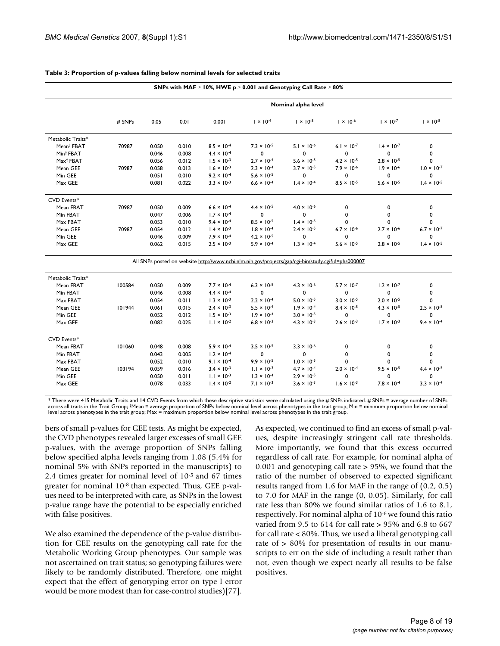| SNPs with MAF $\geq$ 10%, HWE p $\geq$ 0.001 and Genotyping Call Rate $\geq$ 80% |       |       |                      |                                   |                                   |                      |                                                                                                    |                      |  |
|----------------------------------------------------------------------------------|-------|-------|----------------------|-----------------------------------|-----------------------------------|----------------------|----------------------------------------------------------------------------------------------------|----------------------|--|
| Nominal alpha level                                                              |       |       |                      |                                   |                                   |                      |                                                                                                    |                      |  |
| # SNPs                                                                           | 0.05  | 0.01  | 0.001                | $\vert \times \vert 0^{-4} \vert$ | $\vert \times \vert 0^{-5} \vert$ | $1 \times 10^{-6}$   | $1 \times 10^{-7}$                                                                                 | $  \times 10^{-8}$   |  |
|                                                                                  |       |       |                      |                                   |                                   |                      |                                                                                                    |                      |  |
| 70987                                                                            | 0.050 | 0.010 | $8.5 \times 10^{-4}$ | $7.3 \times 10^{-5}$              | $5.1 \times 10^{-6}$              | $6.1 \times 10^{-7}$ | $1.4 \times 10^{-7}$                                                                               | 0                    |  |
|                                                                                  | 0.046 | 0.008 | $4.4 \times 10^{-4}$ | 0                                 | $\mathbf 0$                       | 0                    | $\mathbf 0$                                                                                        | 0                    |  |
|                                                                                  | 0.056 | 0.012 | $1.5 \times 10^{-3}$ | $2.7 \times 10^{-4}$              | $5.6 \times 10^{-5}$              | $4.2 \times 10^{-5}$ | $2.8 \times 10^{-5}$                                                                               | 0                    |  |
| 70987                                                                            | 0.058 | 0.013 | $1.6 \times 10^{-3}$ | $2.3 \times 10^{-4}$              | $3.7 \times 10^{-5}$              | $7.9 \times 10^{-6}$ | $1.9 \times 10^{-6}$                                                                               | $1.0 \times 10^{-7}$ |  |
|                                                                                  | 0.051 | 0.010 | $9.2 \times 10^{-4}$ | $5.6 \times 10^{-5}$              | 0                                 | 0                    | 0                                                                                                  | 0                    |  |
|                                                                                  | 0.081 | 0.022 | $3.3 \times 10^{-3}$ | $6.6 \times 10^{-4}$              | $1.4 \times 10^{-4}$              | $8.5 \times 10^{-5}$ | $5.6 \times 10^{-5}$                                                                               | $1.4 \times 10^{-5}$ |  |
|                                                                                  |       |       |                      |                                   |                                   |                      |                                                                                                    |                      |  |
| 70987                                                                            | 0.050 | 0.009 | $6.6 \times 10^{-4}$ | $4.4 \times 10^{-5}$              | $4.0 \times 10^{-6}$              | 0                    | 0                                                                                                  | 0                    |  |
|                                                                                  | 0.047 | 0.006 | $1.7 \times 10^{-4}$ | 0                                 | 0                                 | 0                    | 0                                                                                                  | 0                    |  |
|                                                                                  | 0.053 | 0.010 | $9.4 \times 10^{-4}$ | $8.5 \times 10^{-5}$              | $1.4 \times 10^{-5}$              | $\mathbf 0$          | $\mathbf 0$                                                                                        | 0                    |  |
| 70987                                                                            | 0.054 | 0.012 | $1.4 \times 10^{-3}$ | $1.8 \times 10^{-4}$              | $2.4 \times 10^{-5}$              | $6.7 \times 10^{-6}$ | $2.7 \times 10^{-6}$                                                                               | $6.7 \times 10^{-7}$ |  |
|                                                                                  | 0.046 | 0.009 | $7.9 \times 10^{-4}$ | $4.2 \times 10^{-5}$              | $\mathbf 0$                       | 0                    | 0                                                                                                  | 0                    |  |
|                                                                                  | 0.062 | 0.015 | $2.5 \times 10^{-3}$ | $5.9 \times 10^{-4}$              | $1.3 \times 10^{-4}$              | $5.6 \times 10^{-5}$ | $2.8 \times 10^{-5}$                                                                               | $1.4 \times 10^{-5}$ |  |
|                                                                                  |       |       |                      |                                   |                                   |                      |                                                                                                    |                      |  |
|                                                                                  |       |       |                      |                                   |                                   |                      |                                                                                                    |                      |  |
| 100584                                                                           | 0.050 | 0.009 | $7.7 \times 10^{-4}$ | $6.3 \times 10^{-5}$              | $4.3 \times 10^{-6}$              | $5.7 \times 10^{-7}$ | $1.2 \times 10^{-7}$                                                                               | 0                    |  |
|                                                                                  | 0.046 | 0.008 | $4.4 \times 10^{-4}$ | $\mathbf 0$                       | 0                                 | 0                    | $\mathbf 0$                                                                                        | 0                    |  |
|                                                                                  | 0.054 | 0.011 | $1.3 \times 10^{-3}$ | $2.2 \times 10^{-4}$              | $5.0 \times 10^{-5}$              | $3.0 \times 10^{-5}$ | $2.0 \times 10^{-5}$                                                                               | 0                    |  |
| 101944                                                                           | 0.061 | 0.015 | $2.4 \times 10^{-3}$ | $5.5 \times 10^{-4}$              | $1.9 \times 10^{-4}$              | $8.4 \times 10^{-5}$ | $4.3 \times 10^{-5}$                                                                               | $2.5 \times 10^{-5}$ |  |
|                                                                                  | 0.052 | 0.012 | $1.5 \times 10^{-3}$ | $1.9 \times 10^{-4}$              | $3.0 \times 10^{-5}$              | 0                    | $\mathbf 0$                                                                                        | $\mathbf 0$          |  |
|                                                                                  | 0.082 | 0.025 | $1.1 \times 10^{-2}$ | $6.8 \times 10^{-3}$              | $4.3 \times 10^{-3}$              | $2.6 \times 10^{-3}$ | $1.7 \times 10^{-3}$                                                                               | $9.4 \times 10^{-4}$ |  |
|                                                                                  |       |       |                      |                                   |                                   |                      |                                                                                                    |                      |  |
| 101060                                                                           | 0.048 | 0.008 | $5.9 \times 10^{-4}$ | $3.5 \times 10^{-5}$              | $3.3 \times 10^{-6}$              | 0                    | $\pmb{0}$                                                                                          | 0                    |  |
|                                                                                  | 0.043 | 0.005 | $1.2 \times 10^{-4}$ | 0                                 | 0                                 | 0                    | $\mathbf 0$                                                                                        | 0                    |  |
|                                                                                  | 0.052 | 0.010 | $9.1 \times 10^{-4}$ | $9.9 \times 10^{-5}$              | $1.0 \times 10^{-5}$              | 0                    | $\mathbf 0$                                                                                        | 0                    |  |
| 103194                                                                           | 0.059 | 0.016 | $3.4 \times 10^{-3}$ | $1.1 \times 10^{-3}$              | $4.7 \times 10^{-4}$              | $2.0 \times 10^{-4}$ | $9.5 \times 10^{-5}$                                                                               | $4.4 \times 10^{-5}$ |  |
|                                                                                  | 0.050 | 0.011 | $1.1 \times 10^{-3}$ | $1.3 \times 10^{-4}$              | $2.9 \times 10^{-5}$              | 0                    | $\mathbf 0$                                                                                        | 0                    |  |
|                                                                                  | 0.078 | 0.033 | $1.4 \times 10^{-2}$ | $7.1 \times 10^{-3}$              |                                   | $1.6 \times 10^{-3}$ | $7.8 \times 10^{-4}$                                                                               | $3.3 \times 10^{-4}$ |  |
|                                                                                  |       |       |                      |                                   |                                   | $3.6 \times 10^{-3}$ | All SNPs posted on website http://www.ncbi.nlm.nih.gov/projects/gap/cgi-bin/study.cgi?id=phs000007 |                      |  |

#### **Table 3: Proportion of p-values falling below nominal levels for selected traits**

 $*$  There were 415 Metabolic Traits and 14 CVD Events from which these descriptive statistics were calculated using the # SNPs indicated. # SNPs = average number of SNPs  $\,$ across all traits in the Trait Group; †Mean = average proportion of SNPs below nominal level across phenotypes in the trait group; Min = minimum proportion below nominal level across phenotypes in the trait group; Max = maximum proportion below nominal level across phenotypes in the trait group.

bers of small p-values for GEE tests. As might be expected, the CVD phenotypes revealed larger excesses of small GEE p-values, with the average proportion of SNPs falling below specified alpha levels ranging from 1.08 (5.4% for nominal 5% with SNPs reported in the manuscripts) to 2.4 times greater for nominal level of 10-5 and 67 times greater for nominal 10-8 than expected. Thus, GEE p-values need to be interpreted with care, as SNPs in the lowest p-value range have the potential to be especially enriched with false positives.

We also examined the dependence of the p-value distribution for GEE results on the genotyping call rate for the Metabolic Working Group phenotypes. Our sample was not ascertained on trait status; so genotyping failures were likely to be randomly distributed. Therefore, one might expect that the effect of genotyping error on type I error would be more modest than for case-control studies)[77].

As expected, we continued to find an excess of small p-values, despite increasingly stringent call rate thresholds. More importantly, we found that this excess occurred regardless of call rate. For example, for nominal alpha of 0.001 and genotyping call rate > 95%, we found that the ratio of the number of observed to expected significant results ranged from 1.6 for MAF in the range of (0.2, 0.5) to 7.0 for MAF in the range (0, 0.05). Similarly, for call rate less than 80% we found similar ratios of 1.6 to 8.1, respectively. For nominal alpha of 10-6 we found this ratio varied from 9.5 to 614 for call rate > 95% and 6.8 to 667 for call rate < 80%. Thus, we used a liberal genotyping call rate of > 80% for presentation of results in our manuscripts to err on the side of including a result rather than not, even though we expect nearly all results to be false positives.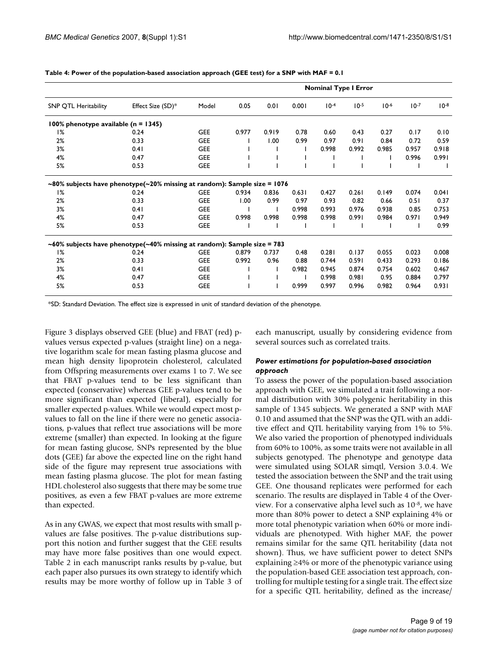|                                                                          |                   | <b>Nominal Type I Error</b> |       |       |       |           |           |           |           |           |
|--------------------------------------------------------------------------|-------------------|-----------------------------|-------|-------|-------|-----------|-----------|-----------|-----------|-----------|
| SNP QTL Heritability                                                     | Effect Size (SD)* | Model                       | 0.05  | 0.01  | 0.001 | $10^{-4}$ | $10^{-5}$ | $10^{-6}$ | $10^{-7}$ | $10^{-8}$ |
| $100\%$ phenotype available (n = 1345)                                   |                   |                             |       |       |       |           |           |           |           |           |
| 1%                                                                       | 0.24              | <b>GEE</b>                  | 0.977 | 0.919 | 0.78  | 0.60      | 0.43      | 0.27      | 0.17      | 0.10      |
| 2%                                                                       | 0.33              | <b>GEE</b>                  |       | 1.00  | 0.99  | 0.97      | 0.91      | 0.84      | 0.72      | 0.59      |
| 3%                                                                       | 0.41              | <b>GEE</b>                  |       |       |       | 0.998     | 0.992     | 0.985     | 0.957     | 0.918     |
| 4%                                                                       | 0.47              | <b>GEE</b>                  |       |       |       |           |           |           | 0.996     | 0.991     |
| 5%                                                                       | 0.53              | <b>GEE</b>                  |       |       |       |           |           |           |           |           |
| ~80% subjects have phenotype(~20% missing at random): Sample size = 1076 |                   |                             |       |       |       |           |           |           |           |           |
| 1%                                                                       | 0.24              | <b>GEE</b>                  | 0.934 | 0.836 | 0.631 | 0.427     | 0.261     | 0.149     | 0.074     | 0.041     |
| 2%                                                                       | 0.33              | <b>GEE</b>                  | 1.00  | 0.99  | 0.97  | 0.93      | 0.82      | 0.66      | 0.51      | 0.37      |
| 3%                                                                       | 0.41              | <b>GEE</b>                  |       |       | 0.998 | 0.993     | 0.976     | 0.938     | 0.85      | 0.753     |
| 4%                                                                       | 0.47              | <b>GEE</b>                  | 0.998 | 0.998 | 0.998 | 0.998     | 0.991     | 0.984     | 0.971     | 0.949     |
| 5%                                                                       | 0.53              | <b>GEE</b>                  |       |       |       |           |           |           |           | 0.99      |
| ~60% subjects have phenotype(~40% missing at random): Sample size = 783  |                   |                             |       |       |       |           |           |           |           |           |
| 1%                                                                       | 0.24              | <b>GEE</b>                  | 0.879 | 0.737 | 0.48  | 0.281     | 0.137     | 0.055     | 0.023     | 0.008     |
| 2%                                                                       | 0.33              | <b>GEE</b>                  | 0.992 | 0.96  | 0.88  | 0.744     | 0.591     | 0.433     | 0.293     | 0.186     |
| 3%                                                                       | 0.41              | <b>GEE</b>                  |       |       | 0.982 | 0.945     | 0.874     | 0.754     | 0.602     | 0.467     |
| 4%                                                                       | 0.47              | <b>GEE</b>                  |       |       |       | 0.998     | 0.981     | 0.95      | 0.884     | 0.797     |
| 5%                                                                       | 0.53              | <b>GEE</b>                  |       |       | 0.999 | 0.997     | 0.996     | 0.982     | 0.964     | 0.931     |

| Table 4: Power of the population-based association approach (GEE test) for a SNP with MAF = 0.1 |  |  |  |
|-------------------------------------------------------------------------------------------------|--|--|--|
|-------------------------------------------------------------------------------------------------|--|--|--|

\*SD: Standard Deviation. The effect size is expressed in unit of standard deviation of the phenotype.

Figure 3 displays observed GEE (blue) and FBAT (red) pvalues versus expected p-values (straight line) on a negative logarithm scale for mean fasting plasma glucose and mean high density lipoprotein cholesterol, calculated from Offspring measurements over exams 1 to 7. We see that FBAT p-values tend to be less significant than expected (conservative) whereas GEE p-values tend to be more significant than expected (liberal), especially for smaller expected p-values. While we would expect most pvalues to fall on the line if there were no genetic associations, p-values that reflect true associations will be more extreme (smaller) than expected. In looking at the figure for mean fasting glucose, SNPs represented by the blue dots (GEE) far above the expected line on the right hand side of the figure may represent true associations with mean fasting plasma glucose. The plot for mean fasting HDL cholesterol also suggests that there may be some true positives, as even a few FBAT p-values are more extreme than expected.

As in any GWAS, we expect that most results with small pvalues are false positives. The p-value distributions support this notion and further suggest that the GEE results may have more false positives than one would expect. Table 2 in each manuscript ranks results by p-value, but each paper also pursues its own strategy to identify which results may be more worthy of follow up in Table 3 of each manuscript, usually by considering evidence from several sources such as correlated traits.

# *Power estimations for population-based association approach*

To assess the power of the population-based association approach with GEE, we simulated a trait following a normal distribution with 30% polygenic heritability in this sample of 1345 subjects. We generated a SNP with MAF 0.10 and assumed that the SNP was the QTL with an additive effect and QTL heritability varying from 1% to 5%. We also varied the proportion of phenotyped individuals from 60% to 100%, as some traits were not available in all subjects genotyped. The phenotype and genotype data were simulated using SOLAR simqtl, Version 3.0.4. We tested the association between the SNP and the trait using GEE. One thousand replicates were performed for each scenario. The results are displayed in Table 4 of the Overview. For a conservative alpha level such as 10-8, we have more than 80% power to detect a SNP explaining 4% or more total phenotypic variation when 60% or more individuals are phenotyped. With higher MAF, the power remains similar for the same QTL heritability (data not shown). Thus, we have sufficient power to detect SNPs explaining ≥4% or more of the phenotypic variance using the population-based GEE association test approach, controlling for multiple testing for a single trait. The effect size for a specific QTL heritability, defined as the increase/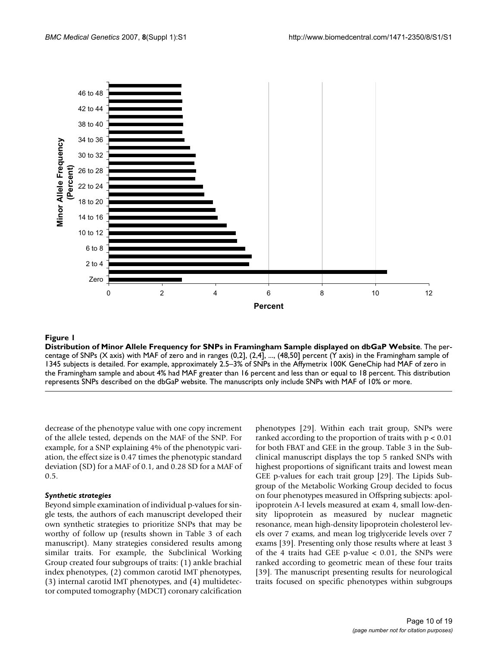

# Distribution of Minor Allele Fre **Figure 1** quency for SNPs in Framingham Sample displayed on dbGaP Website

**Distribution of Minor Allele Frequency for SNPs in Framingham Sample displayed on dbGaP Website**. The percentage of SNPs (X axis) with MAF of zero and in ranges (0,2], (2,4], ..., (48,50] percent (Y axis) in the Framingham sample of 1345 subjects is detailed. For example, approximately 2.5–3% of SNPs in the Affymetrix 100K GeneChip had MAF of zero in the Framingham sample and about 4% had MAF greater than 16 percent and less than or equal to 18 percent. This distribution represents SNPs described on the dbGaP website. The manuscripts only include SNPs with MAF of 10% or more.

decrease of the phenotype value with one copy increment of the allele tested, depends on the MAF of the SNP. For example, for a SNP explaining 4% of the phenotypic variation, the effect size is 0.47 times the phenotypic standard deviation (SD) for a MAF of 0.1, and 0.28 SD for a MAF of 0.5.

### *Synthetic strategies*

Beyond simple examination of individual p-values for single tests, the authors of each manuscript developed their own synthetic strategies to prioritize SNPs that may be worthy of follow up (results shown in Table 3 of each manuscript). Many strategies considered results among similar traits. For example, the Subclinical Working Group created four subgroups of traits: (1) ankle brachial index phenotypes, (2) common carotid IMT phenotypes, (3) internal carotid IMT phenotypes, and (4) multidetector computed tomography (MDCT) coronary calcification

phenotypes [29]. Within each trait group, SNPs were ranked according to the proportion of traits with  $p < 0.01$ for both FBAT and GEE in the group. Table 3 in the Subclinical manuscript displays the top 5 ranked SNPs with highest proportions of significant traits and lowest mean GEE p-values for each trait group [29]. The Lipids Subgroup of the Metabolic Working Group decided to focus on four phenotypes measured in Offspring subjects: apolipoprotein A-I levels measured at exam 4, small low-density lipoprotein as measured by nuclear magnetic resonance, mean high-density lipoprotein cholesterol levels over 7 exams, and mean log triglyceride levels over 7 exams [39]. Presenting only those results where at least 3 of the 4 traits had GEE p-value < 0.01, the SNPs were ranked according to geometric mean of these four traits [39]. The manuscript presenting results for neurological traits focused on specific phenotypes within subgroups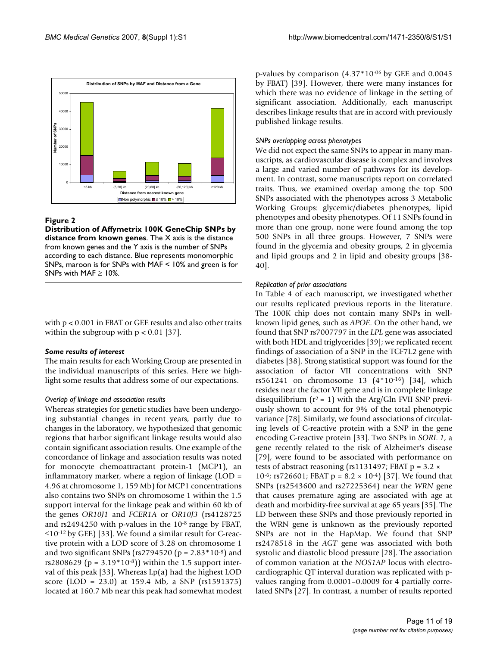

# **Figure 2**

**Distribution of Affymetrix 100K GeneChip SNPs by distance from known genes**. The X axis is the distance from known genes and the Y axis is the number of SNPs according to each distance. Blue represents monomorphic SNPs, maroon is for SNPs with MAF < 10% and green is for SNPs with MAF  $\geq$  10%.

with p < 0.001 in FBAT or GEE results and also other traits within the subgroup with  $p < 0.01$  [37].

# *Some results of interest*

The main results for each Working Group are presented in the individual manuscripts of this series. Here we highlight some results that address some of our expectations.

# *Overlap of linkage and association results*

Whereas strategies for genetic studies have been undergoing substantial changes in recent years, partly due to changes in the laboratory, we hypothesized that genomic regions that harbor significant linkage results would also contain significant association results. One example of the concordance of linkage and association results was noted for monocyte chemoattractant protein-1 (MCP1), an inflammatory marker, where a region of linkage (LOD = 4.96 at chromosome 1, 159 Mb) for MCP1 concentrations also contains two SNPs on chromosome 1 within the 1.5 support interval for the linkage peak and within 60 kb of the genes *OR10J1* and *FCER1A* or *OR10J3* (rs4128725 and rs2494250 with p-values in the  $10^{-8}$  range by FBAT,  $\leq$ 10<sup>-12</sup> by GEE) [33]. We found a similar result for C-reactive protein with a LOD score of 3.28 on chromosome 1 and two significant SNPs ( $rs2794520$  ( $p = 2.83 * 10^{-8}$ ) and rs2808629 ( $p = 3.19*10-8$ )) within the 1.5 support interval of this peak [33]. Whereas Lp(a) had the highest LOD score (LOD = 23.0) at 159.4 Mb, a SNP (rs1591375) located at 160.7 Mb near this peak had somewhat modest p-values by comparison (4.37\*10-06 by GEE and 0.0045 by FBAT) [39]. However, there were many instances for which there was no evidence of linkage in the setting of significant association. Additionally, each manuscript describes linkage results that are in accord with previously published linkage results.

# *SNPs overlapping across phenotypes*

We did not expect the same SNPs to appear in many manuscripts, as cardiovascular disease is complex and involves a large and varied number of pathways for its development. In contrast, some manuscripts report on correlated traits. Thus, we examined overlap among the top 500 SNPs associated with the phenotypes across 3 Metabolic Working Groups: glycemic/diabetes phenotypes, lipid phenotypes and obesity phenotypes. Of 11 SNPs found in more than one group, none were found among the top 500 SNPs in all three groups. However, 7 SNPs were found in the glycemia and obesity groups, 2 in glycemia and lipid groups and 2 in lipid and obesity groups [38- 40].

# *Replication of prior associations*

In Table 4 of each manuscript, we investigated whether our results replicated previous reports in the literature. The 100K chip does not contain many SNPs in wellknown lipid genes, such as *APOE*. On the other hand, we found that SNP rs7007797 in the *LPL* gene was associated with both HDL and triglycerides [39]; we replicated recent findings of association of a SNP in the TCF7L2 gene with diabetes [38]. Strong statistical support was found for the association of factor VII concentrations with SNP rs561241 on chromosome 13 (4\*10-16) [34], which resides near the factor VII gene and is in complete linkage disequilibrium  $(r^2 = 1)$  with the Arg/Gln FVII SNP previously shown to account for 9% of the total phenotypic variance [78]. Similarly, we found associations of circulating levels of C-reactive protein with a SNP in the gene encoding C-reactive protein [33]. Two SNPs in *SORL 1*, a gene recently related to the risk of Alzheimer's disease [79], were found to be associated with performance on tests of abstract reasoning (rs1131497; FBAT  $p = 3.2 \times$ 10<sup>-6</sup>; rs726601; FBAT p = 8.2  $\times$  10<sup>-4</sup>) [37]. We found that SNPs (rs2543600 and rs27225364) near the *WRN* gene that causes premature aging are associated with age at death and morbidity-free survival at age 65 years [35]. The LD between these SNPs and those previously reported in the WRN gene is unknown as the previously reported SNPs are not in the HapMap. We found that SNP rs2478518 in the *AGT* gene was associated with both systolic and diastolic blood pressure [28]. The association of common variation at the *NOS1AP* locus with electrocardiographic QT interval duration was replicated with pvalues ranging from 0.0001–0.0009 for 4 partially correlated SNPs [27]. In contrast, a number of results reported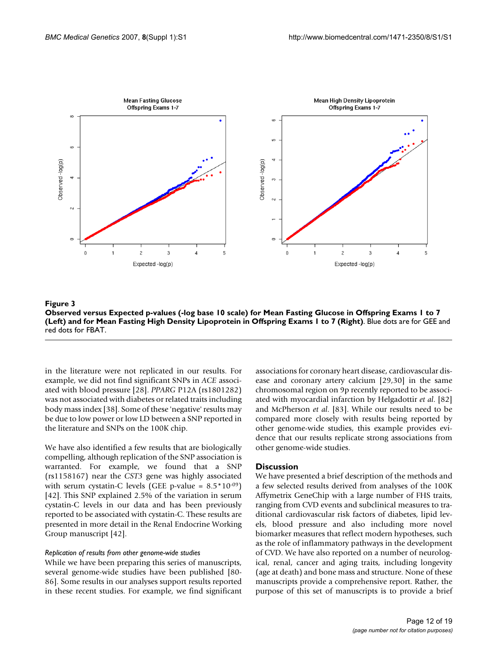

Observed versus Expected p-values (-log base Fasting High Density Lipoprotein in Offspring Exams 1 to 7 (Right) **Figure 3** 10 scale) for Mean Fasting Glucose in Offspring Exams 1 to 7 (Left) and for Mean **Observed versus Expected p-values (-log base 10 scale) for Mean Fasting Glucose in Offspring Exams 1 to 7 (Left) and for Mean Fasting High Density Lipoprotein in Offspring Exams 1 to 7 (Right)**. Blue dots are for GEE and red dots for FBAT.

in the literature were not replicated in our results. For example, we did not find significant SNPs in *ACE* associated with blood pressure [28]. *PPARG* P12A (rs1801282) was not associated with diabetes or related traits including body mass index [38]. Some of these 'negative' results may be due to low power or low LD between a SNP reported in the literature and SNPs on the 100K chip.

We have also identified a few results that are biologically compelling, although replication of the SNP association is warranted. For example, we found that a SNP (rs1158167) near the *CST3* gene was highly associated with serum cystatin-C levels (GEE p-value =  $8.5*10^{-09}$ ) [42]. This SNP explained 2.5% of the variation in serum cystatin-C levels in our data and has been previously reported to be associated with cystatin-C. These results are presented in more detail in the Renal Endocrine Working Group manuscript [42].

#### *Replication of results from other genome-wide studies*

While we have been preparing this series of manuscripts, several genome-wide studies have been published [80- 86]. Some results in our analyses support results reported in these recent studies. For example, we find significant associations for coronary heart disease, cardiovascular disease and coronary artery calcium [29,30] in the same chromosomal region on 9p recently reported to be associated with myocardial infarction by Helgadottir *et al*. [82] and McPherson *et al*. [83]. While our results need to be compared more closely with results being reported by other genome-wide studies, this example provides evidence that our results replicate strong associations from other genome-wide studies.

# **Discussion**

We have presented a brief description of the methods and a few selected results derived from analyses of the 100K Affymetrix GeneChip with a large number of FHS traits, ranging from CVD events and subclinical measures to traditional cardiovascular risk factors of diabetes, lipid levels, blood pressure and also including more novel biomarker measures that reflect modern hypotheses, such as the role of inflammatory pathways in the development of CVD. We have also reported on a number of neurological, renal, cancer and aging traits, including longevity (age at death) and bone mass and structure. None of these manuscripts provide a comprehensive report. Rather, the purpose of this set of manuscripts is to provide a brief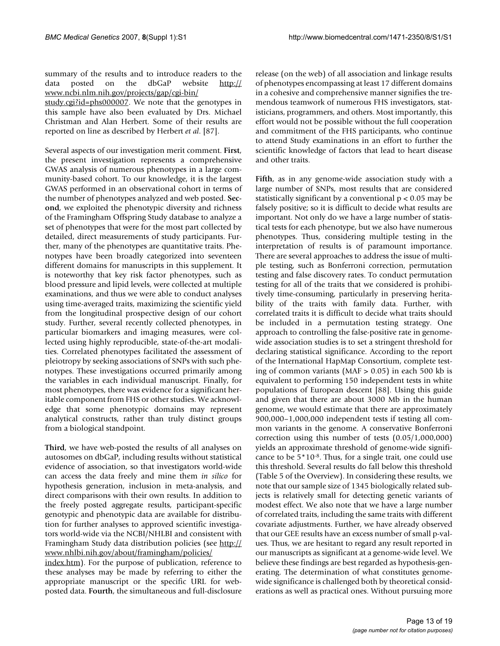summary of the results and to introduce readers to the data posted on the dbGaP website [http://](http://www.ncbi.nlm.nih.gov/projects/gap/cgi-bin/study.cgi?id=phs000007) [www.ncbi.nlm.nih.gov/projects/gap/cgi-bin/](http://www.ncbi.nlm.nih.gov/projects/gap/cgi-bin/study.cgi?id=phs000007)

[study.cgi?id=phs000007.](http://www.ncbi.nlm.nih.gov/projects/gap/cgi-bin/study.cgi?id=phs000007) We note that the genotypes in this sample have also been evaluated by Drs. Michael Christman and Alan Herbert. Some of their results are reported on line as described by Herbert *et al*. [87].

Several aspects of our investigation merit comment. **First**, the present investigation represents a comprehensive GWAS analysis of numerous phenotypes in a large community-based cohort. To our knowledge, it is the largest GWAS performed in an observational cohort in terms of the number of phenotypes analyzed and web posted. **Second**, we exploited the phenotypic diversity and richness of the Framingham Offspring Study database to analyze a set of phenotypes that were for the most part collected by detailed, direct measurements of study participants. Further, many of the phenotypes are quantitative traits. Phenotypes have been broadly categorized into seventeen different domains for manuscripts in this supplement. It is noteworthy that key risk factor phenotypes, such as blood pressure and lipid levels, were collected at multiple examinations, and thus we were able to conduct analyses using time-averaged traits, maximizing the scientific yield from the longitudinal prospective design of our cohort study. Further, several recently collected phenotypes, in particular biomarkers and imaging measures, were collected using highly reproducible, state-of-the-art modalities. Correlated phenotypes facilitated the assessment of pleiotropy by seeking associations of SNPs with such phenotypes. These investigations occurred primarily among the variables in each individual manuscript. Finally, for most phenotypes, there was evidence for a significant heritable component from FHS or other studies. We acknowledge that some phenotypic domains may represent analytical constructs, rather than truly distinct groups from a biological standpoint.

**Third**, we have web-posted the results of all analyses on autosomes on dbGaP, including results without statistical evidence of association, so that investigators world-wide can access the data freely and mine them *in silico* for hypothesis generation, inclusion in meta-analysis, and direct comparisons with their own results. In addition to the freely posted aggregate results, participant-specific genotypic and phenotypic data are available for distribution for further analyses to approved scientific investigators world-wide via the NCBI/NHLBI and consistent with Framingham Study data distribution policies (see [http://](http://www.nhlbi.nih.gov/about/framingham/policies/index.htm) [www.nhlbi.nih.gov/about/framingham/policies/](http://www.nhlbi.nih.gov/about/framingham/policies/index.htm)

[index.htm](http://www.nhlbi.nih.gov/about/framingham/policies/index.htm)). For the purpose of publication, reference to these analyses may be made by referring to either the appropriate manuscript or the specific URL for webposted data. **Fourth**, the simultaneous and full-disclosure

release (on the web) of all association and linkage results of phenotypes encompassing at least 17 different domains in a cohesive and comprehensive manner signifies the tremendous teamwork of numerous FHS investigators, statisticians, programmers, and others. Most importantly, this effort would not be possible without the full cooperation and commitment of the FHS participants, who continue to attend Study examinations in an effort to further the scientific knowledge of factors that lead to heart disease and other traits.

**Fifth**, as in any genome-wide association study with a large number of SNPs, most results that are considered statistically significant by a conventional p < 0.05 may be falsely positive; so it is difficult to decide what results are important. Not only do we have a large number of statistical tests for each phenotype, but we also have numerous phenotypes. Thus, considering multiple testing in the interpretation of results is of paramount importance. There are several approaches to address the issue of multiple testing, such as Bonferroni correction, permutation testing and false discovery rates. To conduct permutation testing for all of the traits that we considered is prohibitively time-consuming, particularly in preserving heritability of the traits with family data. Further, with correlated traits it is difficult to decide what traits should be included in a permutation testing strategy. One approach to controlling the false-positive rate in genomewide association studies is to set a stringent threshold for declaring statistical significance. According to the report of the International HapMap Consortium, complete testing of common variants ( $MAF > 0.05$ ) in each 500 kb is equivalent to performing 150 independent tests in white populations of European descent [88]. Using this guide and given that there are about 3000 Mb in the human genome, we would estimate that there are approximately 900,000–1,000,000 independent tests if testing all common variants in the genome. A conservative Bonferroni correction using this number of tests (0.05/1,000,000) yields an approximate threshold of genome-wide significance to be 5\*10-8. Thus, for a single trait, one could use this threshold. Several results do fall below this threshold (Table 5 of the Overview). In considering these results, we note that our sample size of 1345 biologically related subjects is relatively small for detecting genetic variants of modest effect. We also note that we have a large number of correlated traits, including the same traits with different covariate adjustments. Further, we have already observed that our GEE results have an excess number of small p-values. Thus, we are hesitant to regard any result reported in our manuscripts as significant at a genome-wide level. We believe these findings are best regarded as hypothesis-generating. The determination of what constitutes genomewide significance is challenged both by theoretical considerations as well as practical ones. Without pursuing more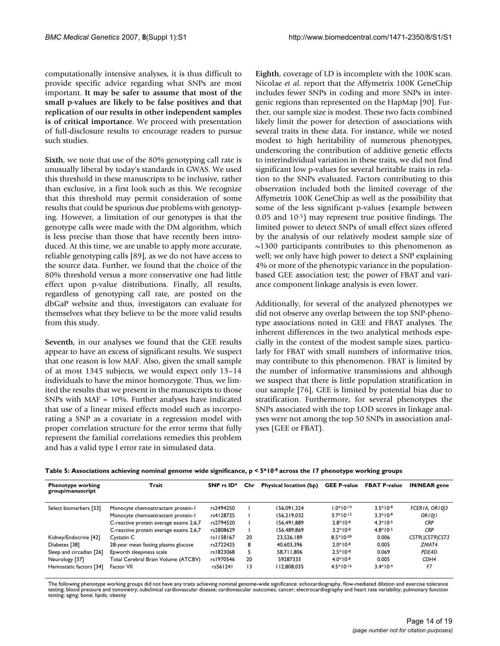computationally intensive analyses, it is thus difficult to provide specific advice regarding what SNPs are most important. **It may be safer to assume that most of the small p-values are likely to be false positives and that replication of our results in other independent samples is of critical importance**. We proceed with presentation of full-disclosure results to encourage readers to pursue such studies.

**Sixth**, we note that use of the 80% genotyping call rate is unusually liberal by today's standards in GWAS. We used this threshold in these manuscripts to be inclusive, rather than exclusive, in a first look such as this. We recognize that this threshold may permit consideration of some results that could be spurious due problems with genotyping. However, a limitation of our genotypes is that the genotype calls were made with the DM algorithm, which is less precise than those that have recently been introduced. At this time, we are unable to apply more accurate, reliable genotyping calls [89], as we do not have access to the source data. Further, we found that the choice of the 80% threshold versus a more conservative one had little effect upon p-value distributions. Finally, all results, regardless of genotyping call rate, are posted on the dbGaP website and thus, investigators can evaluate for themselves what they believe to be the more valid results from this study.

**Seventh**, in our analyses we found that the GEE results appear to have an excess of significant results. We suspect that one reason is low MAF. Also, given the small sample of at most 1345 subjects, we would expect only 13–14 individuals to have the minor homozygote. Thus, we limited the results that we present in the manuscripts to those SNPs with MAF = 10%. Further analyses have indicated that use of a linear mixed effects model such as incorporating a SNP as a covariate in a regression model with proper correlation structure for the error terms that fully represent the familial correlations remedies this problem and has a valid type I error rate in simulated data.

**Eighth**, coverage of LD is incomplete with the 100K scan. Nicolae *et al*. report that the Affymetrix 100K GeneChip includes fewer SNPs in coding and more SNPs in intergenic regions than represented on the HapMap [90]. Further, our sample size is modest. These two facts combined likely limit the power for detection of associations with several traits in these data. For instance, while we noted modest to high heritability of numerous phenotypes, underscoring the contribution of additive genetic effects to interindividual variation in these traits, we did not find significant low p-values for several heritable traits in relation to the SNPs evaluated. Factors contributing to this observation included both the limited coverage of the Affymetrix 100K GeneChip as well as the possibility that some of the less significant p-values (example between 0.05 and 10-5) may represent true positive findings. The limited power to detect SNPs of small effect sizes offered by the analysis of our relatively modest sample size of  $\sim$ 1300 participants contributes to this phenomenon as well; we only have high power to detect a SNP explaining 4% or more of the phenotypic variance in the populationbased GEE association test; the power of FBAT and variance component linkage analysis is even lower.

Additionally, for several of the analyzed phenotypes we did not observe any overlap between the top SNP-phenotype associations noted in GEE and FBAT analyses. The inherent differences in the two analytical methods especially in the context of the modest sample sizes, particularly for FBAT with small numbers of informative trios, may contribute to this phenomenon. FBAT is limited by the number of informative transmissions and although we suspect that there is little population stratification in our sample [76], GEE is limited by potential bias due to stratification. Furthermore, for several phenotypes the SNPs associated with the top LOD scores in linkage analyses were not among the top 50 SNPs in association analyses (GEE or FBAT).

| <b>Phenotype working</b><br>group/manuscript | Trait                                  | SNP rs ID* | Chr | Physical location (bp) | <b>GEE P-value</b> | <b>FBAT P-value</b> | <b>IN/NEAR</b> gene |
|----------------------------------------------|----------------------------------------|------------|-----|------------------------|--------------------|---------------------|---------------------|
| Select biomarkers [33]                       | Monocyte chemoattractant protein-1     | rs2494250  |     | 156.091.324            | $1.0*10-14$        | $3.5*10-8$          | FCERIA, ORIOI3      |
|                                              | Monocyte chemoattractant protein-1     | rs4128725  |     | 156.219.032            | $3.7*10-12$        | $3.3*10-8$          | ORIOII              |
|                                              | C-reactive protein average exams 2,6,7 | rs2794520  |     | 156.491.889            | $2.8*10-8$         | $4.3*10-5$          | <b>CRP</b>          |
|                                              | C-reactive protein average exams 2,6,7 | rs2808629  |     | 156,489,869            | $3.2*10-8$         | $4.8*10-5$          | <b>CRP</b>          |
| Kidney/Endocrine [42]                        | Cystatin C                             | rs1158167  | 20  | 23.526.189             | $8.5*10-09$        | 0.006               | CST9LICST9ICST3     |
| Diabetes [38]                                | 28-year mean fasting plasma glucose    | rs2722425  | 8   | 40.603.396             | $2.0*10-8$         | 0.005               | ZMAT4               |
| Sleep and circadian [26]                     | Epworth sleepiness scale               | rs1823068  | ь   | 58.711.806             | $2.5*10-8$         | 0.069               | PDE4D               |
| Neurology [37]                               | Total Cerebral Brain Volume (ATCBV)    | rs1970546  | 20  | 59287333               | $4.0*10-8$         | 0.005               | CDH <sub>4</sub>    |
| Hemostatic factors [34]                      | <b>Factor VII</b>                      | rs561241   | 13  | 112,808,035            | $4.5*10-16$        | $3.4*10-4$          | F7                  |

The following phenotype working groups did not have any traits achieving nominal genome-wide significance: echocardiography, flow-mediated dilation and exercise tolerance<br>testing; blood pressure and tonometry; subclinical pressure and tonometry; subclinical cardiovascular disease; cardiovascular outcomes; cancer; electrocardiography and heart rate variability; pulmonary function testing; aging; bone; lipids; obesity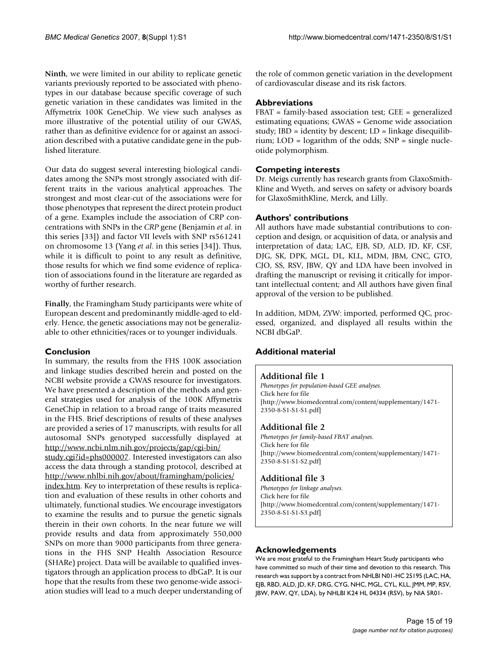**Ninth**, we were limited in our ability to replicate genetic variants previously reported to be associated with phenotypes in our database because specific coverage of such genetic variation in these candidates was limited in the Affymetrix 100K GeneChip. We view such analyses as more illustrative of the potential utility of our GWAS, rather than as definitive evidence for or against an association described with a putative candidate gene in the published literature.

Our data do suggest several interesting biological candidates among the SNPs most strongly associated with different traits in the various analytical approaches. The strongest and most clear-cut of the associations were for those phenotypes that represent the direct protein product of a gene. Examples include the association of CRP concentrations with SNPs in the *CRP* gene (Benjamin *et al*. in this series [33]) and factor VII levels with SNP rs561241 on chromosome 13 (Yang *et al*. in this series [34]). Thus, while it is difficult to point to any result as definitive, those results for which we find some evidence of replication of associations found in the literature are regarded as worthy of further research.

**Finally**, the Framingham Study participants were white of European descent and predominantly middle-aged to elderly. Hence, the genetic associations may not be generalizable to other ethnicities/races or to younger individuals.

# **Conclusion**

In summary, the results from the FHS 100K association and linkage studies described herein and posted on the NCBI website provide a GWAS resource for investigators. We have presented a description of the methods and general strategies used for analysis of the 100K Affymetrix GeneChip in relation to a broad range of traits measured in the FHS. Brief descriptions of results of these analyses are provided a series of 17 manuscripts, with results for all autosomal SNPs genotyped successfully displayed at [http://www.ncbi.nlm.nih.gov/projects/gap/cgi-bin/](http://www.ncbi.nlm.nih.gov/projects/gap/cgi-bin/study.cgi?id=phs000007) [study.cgi?id=phs000007.](http://www.ncbi.nlm.nih.gov/projects/gap/cgi-bin/study.cgi?id=phs000007) Interested investigators can also access the data through a standing protocol, described at [http://www.nhlbi.nih.gov/about/framingham/policies/](http://www.nhlbi.nih.gov/about/framingham/policies/index.htm) [index.htm](http://www.nhlbi.nih.gov/about/framingham/policies/index.htm). Key to interpretation of these results is replication and evaluation of these results in other cohorts and ultimately, functional studies. We encourage investigators to examine the results and to pursue the genetic signals therein in their own cohorts. In the near future we will provide results and data from approximately 550,000 SNPs on more than 9000 participants from three generations in the FHS SNP Health Association Resource (SHARe) project. Data will be available to qualified investigators through an application process to dbGaP. It is our hope that the results from these two genome-wide association studies will lead to a much deeper understanding of the role of common genetic variation in the development of cardiovascular disease and its risk factors.

# **Abbreviations**

FBAT = family-based association test; GEE = generalized estimating equations; GWAS = Genome wide association study; IBD = identity by descent; LD = linkage disequilibrium;  $LOD =$  logarithm of the odds;  $SNP =$  single nucleotide polymorphism.

# **Competing interests**

Dr. Meigs currently has research grants from GlaxoSmith-Kline and Wyeth, and serves on safety or advisory boards for GlaxoSmithKline, Merck, and Lilly.

# **Authors' contributions**

All authors have made substantial contributions to conception and design, or acquisition of data, or analysis and interpretation of data; LAC, EJB, SD, ALD, JD, KF, CSF, DJG, SK, DPK, MGL, DL, KLL, MDM, JBM, CNC, GTO, CJO, SS, RSV, JBW, QY and LDA have been involved in drafting the manuscript or revising it critically for important intellectual content; and All authors have given final approval of the version to be published.

In addition, MDM, ZYW: imported, performed QC, processed, organized, and displayed all results within the NCBI dbGaP.

# **Additional material**

### **Additional file 1**

*Phenotypes for population-based GEE analyses.* Click here for file [\[http://www.biomedcentral.com/content/supplementary/1471-](http://www.biomedcentral.com/content/supplementary/1471-2350-8-S1-S1-S1.pdf) 2350-8-S1-S1-S1.pdf]

# **Additional file 2**

*Phenotypes for family-based FBAT analyses.* Click here for file [\[http://www.biomedcentral.com/content/supplementary/1471-](http://www.biomedcentral.com/content/supplementary/1471-2350-8-S1-S1-S2.pdf) 2350-8-S1-S1-S2.pdf]

# **Additional file 3**

*Phenotypes for linkage analyses.* Click here for file [\[http://www.biomedcentral.com/content/supplementary/1471-](http://www.biomedcentral.com/content/supplementary/1471-2350-8-S1-S1-S3.pdf) 2350-8-S1-S1-S3.pdf]

# **Acknowledgements**

We are most grateful to the Framingham Heart Study participants who have committed so much of their time and devotion to this research. This research was support by a contract from NHLBI N01-HC 25195 (LAC, HA, EJB, RBD, ALD, JD, KF, DRG, CYG, NHC, MGL, CYL, KLL, JMM, MP, RSV, JBW, PAW, QY, LDA), by NHLBI K24 HL 04334 (RSV), by NIA 5R01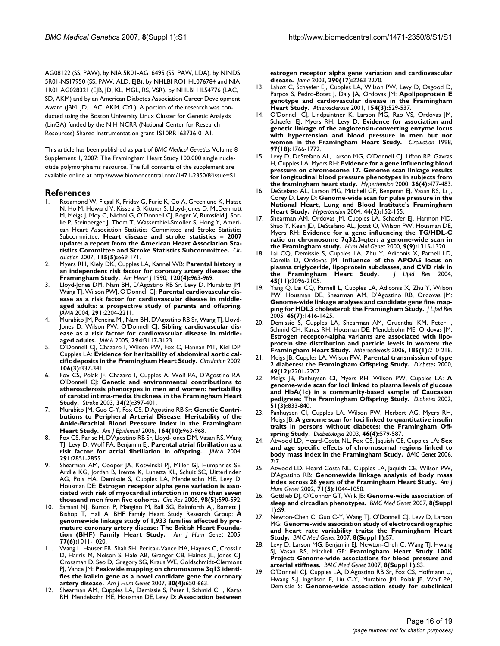AG08122 (SS, PAW), by NIA 5R01-AG16495 (SS, PAW, LDA), by NINDS 5R01-NS17950 (SS, PAW, ALD, EJB), by NHLBI RO1 HL076784 and NIA 1R01 AG028321 (EJB, JD, KL, MGL, RS, VSR), by NHLBI HL54776 (LAC, SD, AKM) and by an American Diabetes Association Career Development Award (JBM, JD, LAC, AKM, CYL). A portion of the research was conducted using the Boston University Linux Cluster for Genetic Analysis (LinGA) funded by the NIH NCRR (National Center for Research Resources) Shared Instrumentation grant 1S10RR163736-01A1.

This article has been published as part of *BMC Medical Genetics* Volume 8 Supplement 1, 2007: The Framingham Heart Study 100,000 single nucleotide polymorphisms resource. The full contents of the supplement are available online at<http://www.biomedcentral.com/1471-2350/8?issue=S1>.

#### **References**

- Rosamond W, Flegal K, Friday G, Furie K, Go A, Greenlund K, Haase N, Ho M, Howard V, Kissela B, Kittner S, Lloyd-Jones D, McDermott M, Meigs J, Moy C, Nichol G, O'Donnell CJ, Roger V, Rumsfeld J, Sorlie P, Steinberger J, Thom T, Wasserthiel-Smoller S, Hong Y, American Heart Association Statistics Committee and Stroke Statistics Subcommittee: **[Heart disease and stroke statistics – 2007](http://www.ncbi.nlm.nih.gov/entrez/query.fcgi?cmd=Retrieve&db=PubMed&dopt=Abstract&list_uids=17194875) [update: a report from the American Heart Association Sta](http://www.ncbi.nlm.nih.gov/entrez/query.fcgi?cmd=Retrieve&db=PubMed&dopt=Abstract&list_uids=17194875)[tistics Committee and Stroke Statistics Subcommittee.](http://www.ncbi.nlm.nih.gov/entrez/query.fcgi?cmd=Retrieve&db=PubMed&dopt=Abstract&list_uids=17194875)** *Circulation* 2007, **115(5):**e69-171.
- 2. Myers RH, Kiely DK, Cupples LA, Kannel WB: **[Parental history is](http://www.ncbi.nlm.nih.gov/entrez/query.fcgi?cmd=Retrieve&db=PubMed&dopt=Abstract&list_uids=2220549) [an independent risk factor for coronary artery disease: the](http://www.ncbi.nlm.nih.gov/entrez/query.fcgi?cmd=Retrieve&db=PubMed&dopt=Abstract&list_uids=2220549) [Framingham Study.](http://www.ncbi.nlm.nih.gov/entrez/query.fcgi?cmd=Retrieve&db=PubMed&dopt=Abstract&list_uids=2220549)** *Am Heart J* 1990, **120(4):**963-969.
- 3. Lloyd-Jones DM, Nam BH, D'Agostino RB Sr, Levy D, Murabito JM, Wang TJ, Wilson PWJ, O'Donnell CJ: **[Parental cardiovascular dis](http://www.ncbi.nlm.nih.gov/entrez/query.fcgi?cmd=Retrieve&db=PubMed&dopt=Abstract&list_uids=15138242)[ease as a risk factor for cardiovascular disease in middle](http://www.ncbi.nlm.nih.gov/entrez/query.fcgi?cmd=Retrieve&db=PubMed&dopt=Abstract&list_uids=15138242)aged adults: a prospective study of parents and offspring.** *JAMA* 2004, **291:**2204-2211.
- 4. Murabito JM, Pencina MJ, Nam BH, D'Agostino RB Sr, Wang TJ, Lloyd-Jones D, Wilson PW, O'Donnell CJ: **[Sibling cardiovascular dis](http://www.ncbi.nlm.nih.gov/entrez/query.fcgi?cmd=Retrieve&db=PubMed&dopt=Abstract&list_uids=16380592)[ease as a risk factor for cardiovascular disease in middle](http://www.ncbi.nlm.nih.gov/entrez/query.fcgi?cmd=Retrieve&db=PubMed&dopt=Abstract&list_uids=16380592)[aged adults.](http://www.ncbi.nlm.nih.gov/entrez/query.fcgi?cmd=Retrieve&db=PubMed&dopt=Abstract&list_uids=16380592)** *JAMA* 2005, **294:**3117-3123.
- 5. O'Donnell CJ, Chazaro I, Wilson PW, Fox C, Hannan MT, Kiel DP, Cupples LA: **[Evidence for heritability of abdominal aortic cal](http://www.ncbi.nlm.nih.gov/entrez/query.fcgi?cmd=Retrieve&db=PubMed&dopt=Abstract&list_uids=12119250)[cific deposits in the Framingham Heart Study.](http://www.ncbi.nlm.nih.gov/entrez/query.fcgi?cmd=Retrieve&db=PubMed&dopt=Abstract&list_uids=12119250)** *Circulation* 2002, **106(3):**337-341.
- 6. Fox CS, Polak JF, Chazaro I, Cupples A, Wolf PA, D'Agostino RA, O'Donnell CJ: **[Genetic and environmental contributions to](http://www.ncbi.nlm.nih.gov/entrez/query.fcgi?cmd=Retrieve&db=PubMed&dopt=Abstract&list_uids=12574549) [atherosclerosis phenotypes in men and women: heritability](http://www.ncbi.nlm.nih.gov/entrez/query.fcgi?cmd=Retrieve&db=PubMed&dopt=Abstract&list_uids=12574549) of carotid intima-media thickness in the Framingham Heart [Study.](http://www.ncbi.nlm.nih.gov/entrez/query.fcgi?cmd=Retrieve&db=PubMed&dopt=Abstract&list_uids=12574549)** *Stroke* 2003, **34(2):**397-401.
- 7. Murabito JM, Guo C-Y, Fox CS, D'Agostino RB Sr: **[Genetic Contri](http://www.ncbi.nlm.nih.gov/entrez/query.fcgi?cmd=Retrieve&db=PubMed&dopt=Abstract&list_uids=16928729)[butions to Peripheral Arterial Disease: Heritability of the](http://www.ncbi.nlm.nih.gov/entrez/query.fcgi?cmd=Retrieve&db=PubMed&dopt=Abstract&list_uids=16928729) Ankle-Brachial Blood Pressure Index in the Framingham [Heart Study.](http://www.ncbi.nlm.nih.gov/entrez/query.fcgi?cmd=Retrieve&db=PubMed&dopt=Abstract&list_uids=16928729)** *Am J Epidemiol* 2006, **164(10):**963-968.
- 8. Fox CS, Parise H, D'Agostino RB Sr, Lloyd-Jones DM, Vasan RS, Wang TJ, Levy D, Wolf PA, Benjamin EJ: **[Parental atrial fibrillation as a](http://www.ncbi.nlm.nih.gov/entrez/query.fcgi?cmd=Retrieve&db=PubMed&dopt=Abstract&list_uids=15199036) [risk factor for atrial fibrillation in offspring.](http://www.ncbi.nlm.nih.gov/entrez/query.fcgi?cmd=Retrieve&db=PubMed&dopt=Abstract&list_uids=15199036)** *JAMA* 2004, **291:**2851-2855.
- 9. Shearman AM, Cooper JA, Kotwinski PJ, Miller GJ, Humphries SE, Ardlie KG, Jordan B, Irenze K, Lunetta KL, Schuit SC, Uitterlinden AG, Pols HA, Demissie S, Cupples LA, Mendelsohn ME, Levy D, Housman DE: **[Estrogen receptor alpha gene variation is asso](http://www.ncbi.nlm.nih.gov/entrez/query.fcgi?cmd=Retrieve&db=PubMed&dopt=Abstract&list_uids=16484614)[ciated with risk of myocardial infarction in more than seven](http://www.ncbi.nlm.nih.gov/entrez/query.fcgi?cmd=Retrieve&db=PubMed&dopt=Abstract&list_uids=16484614) [thousand men from five cohorts.](http://www.ncbi.nlm.nih.gov/entrez/query.fcgi?cmd=Retrieve&db=PubMed&dopt=Abstract&list_uids=16484614)** *Circ Res* 2006, **98(5):**590-592.
- 10. Samani NJ, Burton P, Mangino M, Ball SG, Balmforth AJ, Barrett J, Bishop T, Hall A, BHF Family Heart Study Research Group: **[A](http://www.ncbi.nlm.nih.gov/entrez/query.fcgi?cmd=Retrieve&db=PubMed&dopt=Abstract&list_uids=16380912) [genomewide linkage study of 1,933 families affected by pre](http://www.ncbi.nlm.nih.gov/entrez/query.fcgi?cmd=Retrieve&db=PubMed&dopt=Abstract&list_uids=16380912)mature coronary artery disease: The British Heart Founda[tion \(BHF\) Family Heart Study.](http://www.ncbi.nlm.nih.gov/entrez/query.fcgi?cmd=Retrieve&db=PubMed&dopt=Abstract&list_uids=16380912)** *Am J Hum Genet* 2005, **77(6):**1011-1020.
- 11. Wang L, Hauser ER, Shah SH, Pericak-Vance MA, Haynes C, Crosslin D, Harris M, Nelson S, Hale AB, Granger CB, Haines JL, Jones CJ, Crossman D, Seo D, Gregory SG, Kraus WE, Goldschmidt-Clermont PJ, Vance JM: **[Peakwide mapping on chromosome 3q13 identi](http://www.ncbi.nlm.nih.gov/entrez/query.fcgi?cmd=Retrieve&db=PubMed&dopt=Abstract&list_uids=17357071)[fies the kalirin gene as a novel candidate gene for coronary](http://www.ncbi.nlm.nih.gov/entrez/query.fcgi?cmd=Retrieve&db=PubMed&dopt=Abstract&list_uids=17357071) [artery disease.](http://www.ncbi.nlm.nih.gov/entrez/query.fcgi?cmd=Retrieve&db=PubMed&dopt=Abstract&list_uids=17357071)** *Am J Hum Genet* 2007, **80(4):**650-663.
- Shearman AM, Cupples LA, Demissie S, Peter I, Schmid CH, Karas RH, Mendelsohn ME, Housman DE, Levy D: **[Association between](http://www.ncbi.nlm.nih.gov/entrez/query.fcgi?cmd=Retrieve&db=PubMed&dopt=Abstract&list_uids=14600184)**

**[estrogen receptor alpha gene variation and cardiovascular](http://www.ncbi.nlm.nih.gov/entrez/query.fcgi?cmd=Retrieve&db=PubMed&dopt=Abstract&list_uids=14600184) [disease.](http://www.ncbi.nlm.nih.gov/entrez/query.fcgi?cmd=Retrieve&db=PubMed&dopt=Abstract&list_uids=14600184)** *Jama* 2003, **290(17):**2263-2270.

- 13. Lahoz C, Schaefer EJ, Cupples LA, Wilson PW, Levy D, Osgood D, Parpos S, Pedro-Botet J, Daly JA, Ordovas JM: **[Apolipoprotein E](http://www.ncbi.nlm.nih.gov/entrez/query.fcgi?cmd=Retrieve&db=PubMed&dopt=Abstract&list_uids=11257253) [genotype and cardiovascular disease in the Framingham](http://www.ncbi.nlm.nih.gov/entrez/query.fcgi?cmd=Retrieve&db=PubMed&dopt=Abstract&list_uids=11257253) [Heart Study.](http://www.ncbi.nlm.nih.gov/entrez/query.fcgi?cmd=Retrieve&db=PubMed&dopt=Abstract&list_uids=11257253)** *Atherosclerosis* 2001, **154(3):**529-537.
- O'Donnell CJ, Lindpaintner K, Larson MG, Rao VS, Ordovas JM, Schaefer EJ, Myers RH, Levy D: **[Evidence for association and](http://www.ncbi.nlm.nih.gov/entrez/query.fcgi?cmd=Retrieve&db=PubMed&dopt=Abstract&list_uids=9603529) [genetic linkage of the angiotensin-converting enzyme locus](http://www.ncbi.nlm.nih.gov/entrez/query.fcgi?cmd=Retrieve&db=PubMed&dopt=Abstract&list_uids=9603529) with hypertension and blood pressure in men but not [women in the Framingham Heart Study.](http://www.ncbi.nlm.nih.gov/entrez/query.fcgi?cmd=Retrieve&db=PubMed&dopt=Abstract&list_uids=9603529)** *Circulation* 1998, **97(18):**1766-1772.
- 15. Levy D, DeStefano AL, Larson MG, O'Donnell CJ, Lifton RP, Gavras H, Cupples LA, Myers RH: **[Evidence for a gene influencing blood](http://www.ncbi.nlm.nih.gov/entrez/query.fcgi?cmd=Retrieve&db=PubMed&dopt=Abstract&list_uids=11040222) [pressure on chromosome 17. Genome scan linkage results](http://www.ncbi.nlm.nih.gov/entrez/query.fcgi?cmd=Retrieve&db=PubMed&dopt=Abstract&list_uids=11040222) for longitudinal blood pressure phenotypes in subjects from [the framingham heart study.](http://www.ncbi.nlm.nih.gov/entrez/query.fcgi?cmd=Retrieve&db=PubMed&dopt=Abstract&list_uids=11040222)** *Hypertension* 2000, **36(4):**477-483.
- 16. DeStefano AL, Larson MG, Mitchell GF, Benjamin EJ, Vasan RS, Li J, Corey D, Levy D: **[Genome-wide scan for pulse pressure in the](http://www.ncbi.nlm.nih.gov/entrez/query.fcgi?cmd=Retrieve&db=PubMed&dopt=Abstract&list_uids=15210652) [National Heart, Lung and Blood Institute's Framingham](http://www.ncbi.nlm.nih.gov/entrez/query.fcgi?cmd=Retrieve&db=PubMed&dopt=Abstract&list_uids=15210652) [Heart Study.](http://www.ncbi.nlm.nih.gov/entrez/query.fcgi?cmd=Retrieve&db=PubMed&dopt=Abstract&list_uids=15210652)** *Hypertension* 2004, **44(2):**152-155.
- 17. Shearman AM, Ordovas JM, Cupples LA, Schaefer EJ, Harmon MD, Shao Y, Keen JD, DeStefano AL, Joost O, Wilson PW, Housman DE, Myers RH: **[Evidence for a gene influencing the TG/HDL-C](http://www.ncbi.nlm.nih.gov/entrez/query.fcgi?cmd=Retrieve&db=PubMed&dopt=Abstract&list_uids=10814713) [ratio on chromosome 7q32.3-qter: a genome-wide scan in](http://www.ncbi.nlm.nih.gov/entrez/query.fcgi?cmd=Retrieve&db=PubMed&dopt=Abstract&list_uids=10814713) [the Framingham study.](http://www.ncbi.nlm.nih.gov/entrez/query.fcgi?cmd=Retrieve&db=PubMed&dopt=Abstract&list_uids=10814713)** *Hum Mol Genet* 2000, **9(9):**1315-1320.
- Lai CQ, Demissie S, Cupples LA, Zhu Y, Adiconis X, Parnell LD, Corella D, Ordovas JM: **[Influence of the APOA5 locus on](http://www.ncbi.nlm.nih.gov/entrez/query.fcgi?cmd=Retrieve&db=PubMed&dopt=Abstract&list_uids=15342688) [plasma triglyceride, lipoprotein subclasses, and CVD risk in](http://www.ncbi.nlm.nih.gov/entrez/query.fcgi?cmd=Retrieve&db=PubMed&dopt=Abstract&list_uids=15342688) [the Framingham Heart Study.](http://www.ncbi.nlm.nih.gov/entrez/query.fcgi?cmd=Retrieve&db=PubMed&dopt=Abstract&list_uids=15342688)** *J Lipid Res* 2004, **45(11):**2096-2105.
- 19. Yang Q, Lai CQ, Parnell L, Cupples LA, Adiconis X, Zhu Y, Wilson PW, Housman DE, Shearman AM, D'Agostino RB, Ordovas JM: **[Genome-wide linkage analyses and candidate gene fine map](http://www.ncbi.nlm.nih.gov/entrez/query.fcgi?cmd=Retrieve&db=PubMed&dopt=Abstract&list_uids=15805549)[ping for HDL3 cholesterol: the Framingham Study.](http://www.ncbi.nlm.nih.gov/entrez/query.fcgi?cmd=Retrieve&db=PubMed&dopt=Abstract&list_uids=15805549)** *J Lipid Res* 2005, **46(7):**1416-1425.
- 20. Demissie S, Cupples LA, Shearman AM, Gruenthal KM, Peter I, Schmid CH, Karas RH, Housman DE, Mendelsohn ME, Ordovas JM: **[Estrogen receptor-alpha variants are associated with lipo](http://www.ncbi.nlm.nih.gov/entrez/query.fcgi?cmd=Retrieve&db=PubMed&dopt=Abstract&list_uids=16005459)protein size distribution and particle levels in women: the [Framingham Heart Study.](http://www.ncbi.nlm.nih.gov/entrez/query.fcgi?cmd=Retrieve&db=PubMed&dopt=Abstract&list_uids=16005459)** *Atherosclerosis* 2006, **185(1):**210-218.
- 21. Meigs JB, Cupples LA, Wilson PW: **[Parental transmission of type](http://www.ncbi.nlm.nih.gov/entrez/query.fcgi?cmd=Retrieve&db=PubMed&dopt=Abstract&list_uids=11118026) [2 diabetes: the Framingham Offspring Study.](http://www.ncbi.nlm.nih.gov/entrez/query.fcgi?cmd=Retrieve&db=PubMed&dopt=Abstract&list_uids=11118026)** *Diabetes* 2000, **49(12):**2201-2207.
- 22. Meigs JB, Panhuysen CI, Myers RH, Wilson PW, Cupples LA: **[A](http://www.ncbi.nlm.nih.gov/entrez/query.fcgi?cmd=Retrieve&db=PubMed&dopt=Abstract&list_uids=11872688) [genome-wide scan for loci linked to plasma levels of glucose](http://www.ncbi.nlm.nih.gov/entrez/query.fcgi?cmd=Retrieve&db=PubMed&dopt=Abstract&list_uids=11872688) and HbA(1c) in a community-based sample of Caucasian [pedigrees: The Framingham Offspring Study.](http://www.ncbi.nlm.nih.gov/entrez/query.fcgi?cmd=Retrieve&db=PubMed&dopt=Abstract&list_uids=11872688)** *Diabetes* 2002, **51(3):**833-840.
- 23. Panhuysen CI, Cupples LA, Wilson PW, Herbert AG, Myers RH, Meigs JB: **[A genome scan for loci linked to quantitative insulin](http://www.ncbi.nlm.nih.gov/entrez/query.fcgi?cmd=Retrieve&db=PubMed&dopt=Abstract&list_uids=12739029) [traits in persons without diabetes: the Framingham Off](http://www.ncbi.nlm.nih.gov/entrez/query.fcgi?cmd=Retrieve&db=PubMed&dopt=Abstract&list_uids=12739029)[spring Study.](http://www.ncbi.nlm.nih.gov/entrez/query.fcgi?cmd=Retrieve&db=PubMed&dopt=Abstract&list_uids=12739029)** *Diabetologia* 2003, **46(4):**579-587.
- 24. Atwood LD, Heard-Costa NL, Fox CS, Jaquish CE, Cupples LA: **[Sex](http://www.ncbi.nlm.nih.gov/entrez/query.fcgi?cmd=Retrieve&db=PubMed&dopt=Abstract&list_uids=16438729) [and age specific effects of chromosomal regions linked to](http://www.ncbi.nlm.nih.gov/entrez/query.fcgi?cmd=Retrieve&db=PubMed&dopt=Abstract&list_uids=16438729) [body mass index in the Framingham Study.](http://www.ncbi.nlm.nih.gov/entrez/query.fcgi?cmd=Retrieve&db=PubMed&dopt=Abstract&list_uids=16438729)** *BMC Genet* 2006, **7:**7.
- Atwood LD, Heard-Costa NL, Cupples LA, Jaquish CE, Wilson PW, D'Agostino RB: **[Genomewide linkage analysis of body mass](http://www.ncbi.nlm.nih.gov/entrez/query.fcgi?cmd=Retrieve&db=PubMed&dopt=Abstract&list_uids=12355400) [index across 28 years of the Framingham Heart Study.](http://www.ncbi.nlm.nih.gov/entrez/query.fcgi?cmd=Retrieve&db=PubMed&dopt=Abstract&list_uids=12355400)** *Am J Hum Genet* 2002, **71(5):**1044-1050.
- 26. Gottlieb DJ, O'Connor GT, Wilk JB: **Genome-wide association of sleep and circadian phenotypes.** *BMC Med Genet* 2007, **8(Suppl 1):**S9.
- 27. Newton-Cheh C, Guo C-Y, Wang TJ, O'Donnell CJ, Levy D, Larson MG: **Genome-wide association study of electrocardiographic and heart rate variability traits: the Framingham Heart Study.** *BMC Med Genet* 2007, **8(Suppl 1):**S7.
- Levy D, Larson MG, Benjamin EJ, Newton-Cheh C, Wang TJ, Hwang SJ, Vasan RS, Mitchell GF: **Framingham Heart Study 100K Project: Genome-wide associations for blood pressure and arterial stiffness.** *BMC Med Genet* 2007, **8(Suppl 1):**S3.
- O'Donnell CJ, Cupples LA, D'Agostino RB Sr, Fox CS, Hoffmann U, Hwang S-J, Ingellson E, Liu C-Y, Murabito JM, Polak JF, Wolf PA, Demissie S: **Genome-wide association study for subclinical**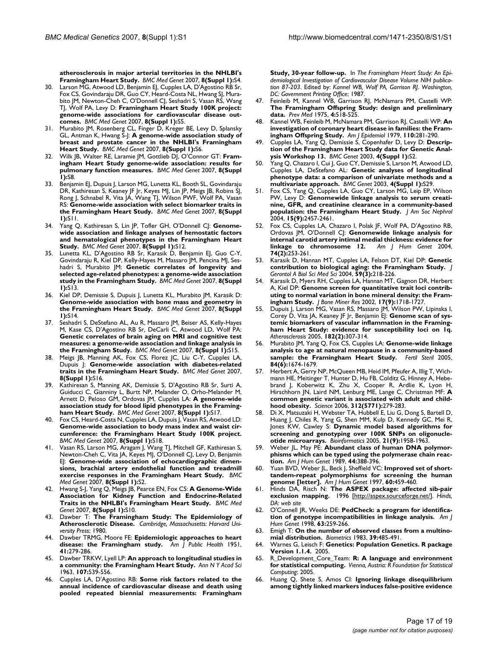**atherosclerosis in major arterial territories in the NHLBI's Framingham Heart Study.** *BMC Med Genet* 2007, **8(Suppl 1):**S4.

- 30. Larson MG, Atwood LD, Benjamin EJ, Cupples LA, D'Agostino RB Sr, Fox CS, Govindaraju DR, Guo CY, Heard-Costa NL, Hwang SJ, Murabito JM, Newton-Cheh C, O'Donnell CJ, Seshadri S, Vasan RS, Wang TJ, Wolf PA, Levy D: **Framingham Heart Study 100K project: genome-wide associations for cardiovascular disease outcomes.** *BMC Med Genet* 2007, **8(Suppl 1):**S5.
- 31. Murabito JM, Rosenberg CL, Finger D, Kreger BE, Levy D, Splansky GL, Antman K, Hwang S-J: **A genome-wide association study of breast and prostate cancer in the NHLBI's Framingham Heart Study.** *BMC Med Genet* 2007, **8(Suppl 1):**S6.
- 32. Wilk JB, Walter RE, Laramie JM, Gottlieb DJ, O'Connor GT: **Framingham Heart Study genome-wide association: results for pulmonary function measures.** *BMC Med Genet* 2007, **8(Suppl 1):**S8.
- Benjamin EJ, Dupuis J, Larson MG, Lunetta KL, Booth SL, Govindaraju DR, Kathiresan S, Keaney JF Jr, Keyes MJ, Lin JP, Meigs JB, Robins SJ, Rong J, Schnabel R, Vita JA, Wang TJ, Wilson PWF, Wolf PA, Vasan RS: **Genome-wide association with select biomarker traits in the Framingham Heart Study.** *BMC Med Genet* 2007, **8(Suppl 1):**S11.
- 34. Yang Q, Kathiresan S, Lin JP, Tofler GH, O'Donnell CJ: **Genomewide association and linkage analyses of hemostatic factors and hematological phenotypes in the Framingham Heart Study.** *BMC Med Genet* 2007, **8(Suppl 1):**S12.
- 35. Lunetta KL, D'Agostino RB Sr, Karasik D, Benjamin EJ, Guo C-Y, Govindaraju R, Kiel DP, Kelly-Hayes M, Massaro JM, Pencina MJ, Seshadri S, Murabito JM: **Genetic correlates of longevity and selected age-related phenotypes: a genome-wide association study in the Framingham Study.** *BMC Med Genet* 2007, **8(Suppl 1):**S13.
- 36. Kiel DP, Demissie S, Dupuis J, Lunetta KL, Murabito JM, Karasik D: **Genome-wide association with bone mass and geometry in the Framingham Heart Study.** *BMC Med Genet* 2007, **8(Suppl 1):**S14.
- 37. Seshadri S, DeStefano AL, Au R, Massaro JM, Beiser AS, Kelly-Hayes M, Kase CS, D'Agostino RB Sr, DeCarli C, Atwood LD, Wolf PA: **Genetic correlates of brain aging on MRI and cognitive test measures: a genome-wide association and linkage analysis in the Framingham Study.** *BMC Med Genet* 2007, **8(Suppl 1):**S15.
- 38. Meigs JB, Manning AK, Fox CS, Florez JC, Liu C-Y, Cupples LA, Dupuis J: **Genome-wide association with diabetes-related traits in the Framingham Heart Study.** *BMC Med Genet* 2007, **8(Suppl 1):**S16.
- Kathiresan S, Manning AK, Demissie S, D'Agostino RB Sr, Surti A, Guiducci C, Gianniny L, Burtt NP, Melander O, Orho-Melander M, Arnett D, Peloso GM, Ordovas JM, Cupples LA: **A genome-wide association study for blood lipid phenotypes in the Framingham Heart Study.** *BMC Med Genet* 2007, **8(Suppl 1):**S17.
- 40. Fox CS, Heard-Costa N, Cupples LA, Dupuis J, Vasan RS, Atwood LD: **Genome-wide association to body mass index and waist circumference: the Framingham Heart Study 100K project.** *BMC Med Genet* 2007, **8(Suppl 1):**S18.
- 41. Vasan RS, Larson MG, Aragam J, Wang TJ, Mitchell GF, Kathiresan S, Newton-Cheh C, Vita JA, Keyes MJ, O'Donnell CJ, Levy D, Benjamin EJ: **Genome-wide association of echocardiographic dimensions, brachial artery endothelial function and treadmill exercise responses in the Framingham Heart Study.** *BMC Med Genet* 2007, **8(Suppl 1):**S2.
- 42. Hwang S-J, Yang Q, Meigs JB, Pearce EN, Fox CS: **A Genome-Wide Association for Kidney Function and Endocrine-Related Traits in the NHLBI's Framingham Heart Study.** *BMC Med Genet* 2007, **8(Suppl 1):**S10.
- 43. Dawber T: **The Framingham Study: The Epidemiology of Atherosclerotic Disease.** *Cambridge, Massachusetts: Harvard University Press*; 1980.
- 44. Dawber TRMG, Moore FE: **Epidemiologic approaches to heart disease: the Framingham study.** *Am J Public Health* 1951, **41:**279-286.
- 45. Dawber TRKW, Lyell LP: **[An approach to longitudinal studies in](http://www.ncbi.nlm.nih.gov/entrez/query.fcgi?cmd=Retrieve&db=PubMed&dopt=Abstract&list_uids=14025561) [a community: the Framingham Heart Study.](http://www.ncbi.nlm.nih.gov/entrez/query.fcgi?cmd=Retrieve&db=PubMed&dopt=Abstract&list_uids=14025561)** *Ann N Y Acad Sci* 1963, **107:**539-556.
- 46. Cupples LA, D'Agostino RB: **Some risk factors related to the annual incidence of cardiovascular disease and death using pooled repeated biennial measurements: Framingham**

**Study, 30-year follow-up.** In *The Framingham Heart Study: An Epidemiological Investigation of Cardiovascular Disease Volume NIH publication 87-203*. Edited by: *Kannel WB, Wolf PA, Garrison RJ*. *Washington, DC: Government Printing Office*; 1987.

- 47. Feinleib M, Kannel WB, Garrison RJ, McNamara PM, Castelli WP: **[The Framingham Offspring Study: design and preliminary](http://www.ncbi.nlm.nih.gov/entrez/query.fcgi?cmd=Retrieve&db=PubMed&dopt=Abstract&list_uids=1208363) [data.](http://www.ncbi.nlm.nih.gov/entrez/query.fcgi?cmd=Retrieve&db=PubMed&dopt=Abstract&list_uids=1208363)** *Prev Med* 1975, **4:**518-525.
- 48. Kannel WB, Feinleib M, McNamara PM, Garrison RJ, Castelli WP: **[An](http://www.ncbi.nlm.nih.gov/entrez/query.fcgi?cmd=Retrieve&db=PubMed&dopt=Abstract&list_uids=474565) [investigation of coronary heart disease in families: the Fram](http://www.ncbi.nlm.nih.gov/entrez/query.fcgi?cmd=Retrieve&db=PubMed&dopt=Abstract&list_uids=474565)[ingham Offspring Study.](http://www.ncbi.nlm.nih.gov/entrez/query.fcgi?cmd=Retrieve&db=PubMed&dopt=Abstract&list_uids=474565)** *Am J Epidemiol* 1979, **110:**281-290.
- 49. Cupples LA, Yang Q, Demissie S, Copenhafer D, Levy D: **[Descrip](http://www.ncbi.nlm.nih.gov/entrez/query.fcgi?cmd=Retrieve&db=PubMed&dopt=Abstract&list_uids=14975070)[tion of the Framingham Heart Study data for Genetic Anal](http://www.ncbi.nlm.nih.gov/entrez/query.fcgi?cmd=Retrieve&db=PubMed&dopt=Abstract&list_uids=14975070)[ysis Workshop 13.](http://www.ncbi.nlm.nih.gov/entrez/query.fcgi?cmd=Retrieve&db=PubMed&dopt=Abstract&list_uids=14975070)** *BMC Genet* 2003, **4(Suppl 1):**S2.
- 50. Yang Q, Chazaro I, Cui J, Guo CY, Demissie S, Larson M, Atwood LD, Cupples LA, DeStefano AL: **[Genetic analyses of longitudinal](http://www.ncbi.nlm.nih.gov/entrez/query.fcgi?cmd=Retrieve&db=PubMed&dopt=Abstract&list_uids=14975097) [phenotype data: a comparison of univariate methods and a](http://www.ncbi.nlm.nih.gov/entrez/query.fcgi?cmd=Retrieve&db=PubMed&dopt=Abstract&list_uids=14975097) [multivariate approach.](http://www.ncbi.nlm.nih.gov/entrez/query.fcgi?cmd=Retrieve&db=PubMed&dopt=Abstract&list_uids=14975097)** *BMC Genet* 2003, **4(Suppl 1):**S29.
- 51. Fox CS, Yang Q, Cupples LA, Guo CY, Larson MG, Leip EP, Wilson PW, Levy D: **[Genomewide linkage analysis to serum creati](http://www.ncbi.nlm.nih.gov/entrez/query.fcgi?cmd=Retrieve&db=PubMed&dopt=Abstract&list_uids=15339995)[nine, GFR, and creatinine clearance in a community-based](http://www.ncbi.nlm.nih.gov/entrez/query.fcgi?cmd=Retrieve&db=PubMed&dopt=Abstract&list_uids=15339995) [population: the Framingham Heart Study.](http://www.ncbi.nlm.nih.gov/entrez/query.fcgi?cmd=Retrieve&db=PubMed&dopt=Abstract&list_uids=15339995)** *J Am Soc Nephrol* 2004, **15(9):**2457-2461.
- Fox CS, Cupples LA, Chazaro I, Polak JF, Wolf PA, D'Agostino RB, Ordovas JM, O'Donnell CJ: **[Genomewide linkage analysis for](http://www.ncbi.nlm.nih.gov/entrez/query.fcgi?cmd=Retrieve&db=PubMed&dopt=Abstract&list_uids=14730480) [internal carotid artery intimal medial thickness: evidence for](http://www.ncbi.nlm.nih.gov/entrez/query.fcgi?cmd=Retrieve&db=PubMed&dopt=Abstract&list_uids=14730480)** [linkage to chromosome 12.](http://www.ncbi.nlm.nih.gov/entrez/query.fcgi?cmd=Retrieve&db=PubMed&dopt=Abstract&list_uids=14730480) **74(2):**253-261.
- 53. Karasik D, Hannan MT, Cupples LA, Felson DT, Kiel DP: **[Genetic](http://www.ncbi.nlm.nih.gov/entrez/query.fcgi?cmd=Retrieve&db=PubMed&dopt=Abstract&list_uids=15031305) [contribution to biological aging: the Framingham Study.](http://www.ncbi.nlm.nih.gov/entrez/query.fcgi?cmd=Retrieve&db=PubMed&dopt=Abstract&list_uids=15031305)** *J Gerontol A Biol Sci Med Sci* 2004, **59(3):**218-226.
- Karasik D, Myers RH, Cupples LA, Hannan MT, Gagnon DR, Herbert A, Kiel DP: **[Genome screen for quantitative trait loci contrib](http://www.ncbi.nlm.nih.gov/entrez/query.fcgi?cmd=Retrieve&db=PubMed&dopt=Abstract&list_uids=12211443)[uting to normal variation in bone mineral density: the Fram](http://www.ncbi.nlm.nih.gov/entrez/query.fcgi?cmd=Retrieve&db=PubMed&dopt=Abstract&list_uids=12211443)[ingham Study.](http://www.ncbi.nlm.nih.gov/entrez/query.fcgi?cmd=Retrieve&db=PubMed&dopt=Abstract&list_uids=12211443)** *J Bone Miner Res* 2002, **17(9):**1718-1727.
- 55. Dupuis J, Larson MG, Vasan RS, Massaro JM, Wilson PW, Lipinska I, Corey D, Vita JA, Keaney JF Jr, Benjamin EJ: **[Genome scan of sys](http://www.ncbi.nlm.nih.gov/entrez/query.fcgi?cmd=Retrieve&db=PubMed&dopt=Abstract&list_uids=16159603)[temic biomarkers of vascular inflammation in the Framing](http://www.ncbi.nlm.nih.gov/entrez/query.fcgi?cmd=Retrieve&db=PubMed&dopt=Abstract&list_uids=16159603)ham Heart Study: evidence for susceptibility loci on 1q.** *Atherosclerosis* 2005, **182(2):**307-314.
- 56. Murabito JM, Yang Q, Fox CS, Cupples LA: **[Genome-wide linkage](http://www.ncbi.nlm.nih.gov/entrez/query.fcgi?cmd=Retrieve&db=PubMed&dopt=Abstract&list_uids=16359963) [analysis to age at natural menopause in a community-based](http://www.ncbi.nlm.nih.gov/entrez/query.fcgi?cmd=Retrieve&db=PubMed&dopt=Abstract&list_uids=16359963) [sample: the Framingham Heart Study.](http://www.ncbi.nlm.nih.gov/entrez/query.fcgi?cmd=Retrieve&db=PubMed&dopt=Abstract&list_uids=16359963)** *Fertil Steril* 2005, **84(6):**1674-1679.
- 57. Herbert A, Gerry NP, McQueen MB, Heid IM, Pfeufer A, Illig T, Wichmann HE, Meitinger T, Hunter D, Hu FB, Colditz G, Hinney A, Hebebrand J, Koberwitz K, Zhu X, Cooper R, Ardlie K, Lyon H, Hirschhorn JN, Laird NM, Lenburg ME, Lange C, Christman MF: **[A](http://www.ncbi.nlm.nih.gov/entrez/query.fcgi?cmd=Retrieve&db=PubMed&dopt=Abstract&list_uids=16614226) [common genetic variant is associated with adult and child](http://www.ncbi.nlm.nih.gov/entrez/query.fcgi?cmd=Retrieve&db=PubMed&dopt=Abstract&list_uids=16614226)[hood obesity.](http://www.ncbi.nlm.nih.gov/entrez/query.fcgi?cmd=Retrieve&db=PubMed&dopt=Abstract&list_uids=16614226)** *Science* 2006, **312(5771):**279-283.
- 58. Di X, Matsuzaki H, Webster TA, Hubbell E, Liu G, Dong S, Bartell D, Huang J, Chiles R, Yang G, Shen MM, Kulp D, Kennedy GC, Mei R, Jones KW, Cawley S: **[Dynamic model based algorithms for](http://www.ncbi.nlm.nih.gov/entrez/query.fcgi?cmd=Retrieve&db=PubMed&dopt=Abstract&list_uids=15657097) [screening and genotyping over 100K SNPs on oligonucle](http://www.ncbi.nlm.nih.gov/entrez/query.fcgi?cmd=Retrieve&db=PubMed&dopt=Abstract&list_uids=15657097)[otide microarrays.](http://www.ncbi.nlm.nih.gov/entrez/query.fcgi?cmd=Retrieve&db=PubMed&dopt=Abstract&list_uids=15657097)** *Bioinformatics* 2005, **21(9):**1958-1963.
- Weber |L, May PE: [Abundant class of human DNA polymor](http://www.ncbi.nlm.nih.gov/entrez/query.fcgi?cmd=Retrieve&db=PubMed&dopt=Abstract&list_uids=2916582)**[phisms which can be typed using the polymerase chain reac](http://www.ncbi.nlm.nih.gov/entrez/query.fcgi?cmd=Retrieve&db=PubMed&dopt=Abstract&list_uids=2916582)[tion.](http://www.ncbi.nlm.nih.gov/entrez/query.fcgi?cmd=Retrieve&db=PubMed&dopt=Abstract&list_uids=2916582)** *Am J Hum Genet* 1989, **44:**388-396.
- Yuan BVD, Weber JL, Beck J, Sheffield VC: [Improved set of short](http://www.ncbi.nlm.nih.gov/entrez/query.fcgi?cmd=Retrieve&db=PubMed&dopt=Abstract&list_uids=9012420)**[tandem-repeat polymorphisms for screening the human](http://www.ncbi.nlm.nih.gov/entrez/query.fcgi?cmd=Retrieve&db=PubMed&dopt=Abstract&list_uids=9012420) [genome \[letter\].](http://www.ncbi.nlm.nih.gov/entrez/query.fcgi?cmd=Retrieve&db=PubMed&dopt=Abstract&list_uids=9012420)** *Am J Hum Genet* 1997, **60:**459-460.
- 61. Hinds DA, Risch N: **The ASPEX package: affected sib-pair exclusion mapping.** 1996 [[http://aspex.sourceforge.net/\]](http://aspex.sourceforge.net/). *Hinds, DA: web site*
- 62. O'Connell JR, Weeks DE: **[PedCheck: a program for identifica](http://www.ncbi.nlm.nih.gov/entrez/query.fcgi?cmd=Retrieve&db=PubMed&dopt=Abstract&list_uids=9634505)[tion of genotype incompatibilities in linkage analysis.](http://www.ncbi.nlm.nih.gov/entrez/query.fcgi?cmd=Retrieve&db=PubMed&dopt=Abstract&list_uids=9634505)** *Am J Hum Genet* 1998, **63:**259-266.
- 63. Emigh T: **On the number of observed classes from a multinomial distribution.** *Biometrics* 1983, **39:**485-491.
- 64. Warnes G, Leisch F: **Genetics: Population Genetics. R package Version 1.1.4.** 2005.
- 65. R\_Development\_Core\_Team: **R: A language and environment for statistical computing.** *Vienna, Austria: R Foundation for Statistical Computing*; 2005.
- 66. Huang Q, Shete S, Amos CI: **[Ignoring linkage disequilibrium](http://www.ncbi.nlm.nih.gov/entrez/query.fcgi?cmd=Retrieve&db=PubMed&dopt=Abstract&list_uids=15492927) [among tightly linked markers induces false-positive evidence](http://www.ncbi.nlm.nih.gov/entrez/query.fcgi?cmd=Retrieve&db=PubMed&dopt=Abstract&list_uids=15492927)**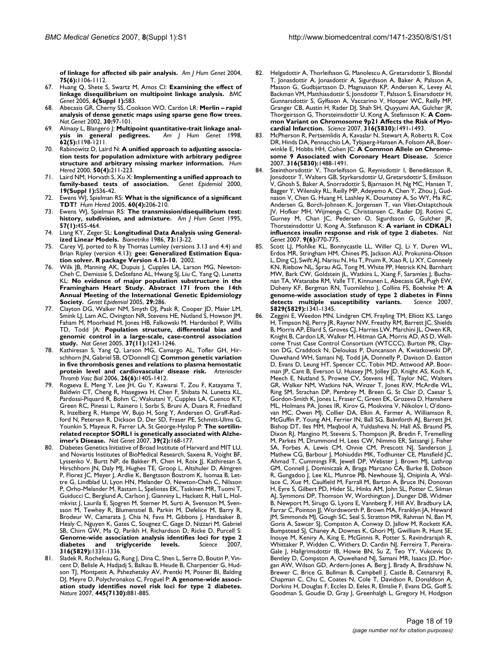**[of linkage for affected sib pair analysis.](http://www.ncbi.nlm.nih.gov/entrez/query.fcgi?cmd=Retrieve&db=PubMed&dopt=Abstract&list_uids=15492927)** *Am J Hum Genet* 2004, **75(6):**1106-1112.

- 67. Huang Q, Shete S, Swartz M, Amos CI: **[Examining the effect of](http://www.ncbi.nlm.nih.gov/entrez/query.fcgi?cmd=Retrieve&db=PubMed&dopt=Abstract&list_uids=16451698) [linkage disequilibrium on multipoint linkage analysis.](http://www.ncbi.nlm.nih.gov/entrez/query.fcgi?cmd=Retrieve&db=PubMed&dopt=Abstract&list_uids=16451698)** *BMC Genet* 2005, **6(Suppl 1):**S83.
- 68. Abecasis GR, Cherny SS, Cookson WO, Cardon LR: **[Merlin rapid](http://www.ncbi.nlm.nih.gov/entrez/query.fcgi?cmd=Retrieve&db=PubMed&dopt=Abstract&list_uids=11731797) [analysis of dense genetic maps using sparse gene flow trees.](http://www.ncbi.nlm.nih.gov/entrez/query.fcgi?cmd=Retrieve&db=PubMed&dopt=Abstract&list_uids=11731797)** *Nat Genet* 2002, **30:**97-101.
- 69. Almasy L, Blangero J: **[Multipoint quantitative-trait linkage anal](http://www.ncbi.nlm.nih.gov/entrez/query.fcgi?cmd=Retrieve&db=PubMed&dopt=Abstract&list_uids=9545414)[ysis in general pedigrees.](http://www.ncbi.nlm.nih.gov/entrez/query.fcgi?cmd=Retrieve&db=PubMed&dopt=Abstract&list_uids=9545414)** *Am J Hum Genet* 1998, **62(5):**1198-1211.

70. Rabinowitz D, Laird N: **[A unified approach to adjusting associa](http://www.ncbi.nlm.nih.gov/entrez/query.fcgi?cmd=Retrieve&db=PubMed&dopt=Abstract&list_uids=10782012)[tion tests for population admixture with arbitrary pedigree](http://www.ncbi.nlm.nih.gov/entrez/query.fcgi?cmd=Retrieve&db=PubMed&dopt=Abstract&list_uids=10782012) [structure and arbitrary missing marker information.](http://www.ncbi.nlm.nih.gov/entrez/query.fcgi?cmd=Retrieve&db=PubMed&dopt=Abstract&list_uids=10782012)** *Hum Hered* 2000, **50(4):**211-223.

- 71. Laird NM, Horvath S, Xu X: **[Implementing a unified approach to](http://www.ncbi.nlm.nih.gov/entrez/query.fcgi?cmd=Retrieve&db=PubMed&dopt=Abstract&list_uids=11055368) [family-based tests of association.](http://www.ncbi.nlm.nih.gov/entrez/query.fcgi?cmd=Retrieve&db=PubMed&dopt=Abstract&list_uids=11055368)** *Genet Epidemiol* 2000, **19(Suppl 1):**S36-42.
- 72. Ewens WJ, Spielman RS: **[What is the significance of a significant](http://www.ncbi.nlm.nih.gov/entrez/query.fcgi?cmd=Retrieve&db=PubMed&dopt=Abstract&list_uids=16391488) [TDT?](http://www.ncbi.nlm.nih.gov/entrez/query.fcgi?cmd=Retrieve&db=PubMed&dopt=Abstract&list_uids=16391488)** *Hum Hered* 2005, **60(4):**206-210.
- 73. Ewens WJ, Spielman RS: **[The transmission/disequilibrium test:](http://www.ncbi.nlm.nih.gov/entrez/query.fcgi?cmd=Retrieve&db=PubMed&dopt=Abstract&list_uids=7668272) [history, subdivision, and admixture.](http://www.ncbi.nlm.nih.gov/entrez/query.fcgi?cmd=Retrieve&db=PubMed&dopt=Abstract&list_uids=7668272)** *Am J Hum Genet* 1995, **57(1):**455-464.
- 74. Liang KY, Zeger SL: **Longitudinal Data Analysis using Generalized Linear Models.** *Biometrika* 1986, **73:**13-22.
- Carey VJ, ported to R by Thomas Lumley (versions 3.13 and 4.4) and Brian Ripley (version 4.13): **gee: Generalized Estimation Equation solver. R package Version 4.13-10.** 2002.
- 76. Wilk JB, Manning AK, Dupuis J, Cupples LA, Larson MG, Newton-Cheh C, Demissie S, DeStefano AL, Hwang SJ, Liu C, Yang Q, Lunetta KL: **No evidence of major population substructure in the Framingham Heart Study. Abstract 171 from the 14th Annual Meeting of the International Genetic Epidemiology Society.** *Genet Epidemiol* 2005, **29:**286.
- 77. Clayton DG, Walker NM, Smyth DJ, Pask R, Cooper JD, Maier LM, Smink LJ, Lam AC, Ovington NR, Stevens HE, Nutland S, Howson JM, Faham M, Moorhead M, Jones HB, Falkowski M, Hardenbol P, Willis TD, Todd JA: **[Population structure, differential bias and](http://www.ncbi.nlm.nih.gov/entrez/query.fcgi?cmd=Retrieve&db=PubMed&dopt=Abstract&list_uids=16228001) [genomic control in a large-scale, case-control association](http://www.ncbi.nlm.nih.gov/entrez/query.fcgi?cmd=Retrieve&db=PubMed&dopt=Abstract&list_uids=16228001) [study.](http://www.ncbi.nlm.nih.gov/entrez/query.fcgi?cmd=Retrieve&db=PubMed&dopt=Abstract&list_uids=16228001)** *Nat Genet* 2005, **37(11):**1243-1246.
- 78. Kathiresan S, Yang Q, Larson MG, Camargo AL, Tofler GH, Hirschhorn JN, Gabriel SB, O'Donnell CJ: **[Common genetic variation](http://www.ncbi.nlm.nih.gov/entrez/query.fcgi?cmd=Retrieve&db=PubMed&dopt=Abstract&list_uids=16614319) [in five thrombosis genes and relations to plasma hemostatic](http://www.ncbi.nlm.nih.gov/entrez/query.fcgi?cmd=Retrieve&db=PubMed&dopt=Abstract&list_uids=16614319) [protein level and cardiovascular disease risk.](http://www.ncbi.nlm.nih.gov/entrez/query.fcgi?cmd=Retrieve&db=PubMed&dopt=Abstract&list_uids=16614319)** *Arterioscler Thromb Vasc Biol* 2006, **26(6):**1405-1412.
- Rogaeva E, Meng Y, Lee JH, Gu Y, Kawarai T, Zou F, Katayama T, Baldwin CT, Cheng R, Hasegawa H, Chen F, Shibata N, Lunetta KL, Pardossi-Piquard R, Bohm C, Wakutani Y, Cupples LA, Cuenco KT, Green RC, Pinessi L, Rainero I, Sorbi S, Bruni A, Duara R, Friedland R, Inzelberg R, Hampe W, Bujo H, Song Y, Andersen O, Graff-Radford N, Petersen R, Dickson D, Der SD, Fraser PE, Schmitt-Ulms G, Younkin S, Mayeux R, Farrer LA, St George-Hyslop P: **[The sortilin](http://www.ncbi.nlm.nih.gov/entrez/query.fcgi?cmd=Retrieve&db=PubMed&dopt=Abstract&list_uids=17220890)[related receptor SORL1 is genetically associated with Alzhe](http://www.ncbi.nlm.nih.gov/entrez/query.fcgi?cmd=Retrieve&db=PubMed&dopt=Abstract&list_uids=17220890)[imer's Disease.](http://www.ncbi.nlm.nih.gov/entrez/query.fcgi?cmd=Retrieve&db=PubMed&dopt=Abstract&list_uids=17220890)** *Nat Genet* 2007, **39(2):**168-177.
- Diabetes Genetics Initiative of Broad Institute of Harvard and MIT LU, and Novartis Institutes of BioMedical Research, Saxena R, Voight BF, Lyssenko V, Burtt NP, de Bakker PI, Chen H, Roix JJ, Kathiresan S, Hirschhorn JN, Daly MJ, Hughes TE, Groop L, Altshuler D, Almgren P, Florez JC, Meyer J, Ardlie K, Bengtsson Bostrom K, Isomaa B, Lettre G, Lindblad U, Lyon HN, Melander O, Newton-Cheh C, Nilsson P, Orho-Melander M, Rastam L, Speliotes EK, Taskinen MR, Tuomi T, Guiducci C, Berglund A, Carlson J, Gianniny L, Hackett R, Hall L, Holmkvist J, Laurila E, Sjogren M, Sterner M, Surti A, Svensson M, Svensson M, Tewhey R, Blumenstiel B, Parkin M, Defelice M, Barry R, Brodeur W, Camarata J, Chia N, Fava M, Gibbons J, Handsaker B, Healy C, Nguyen K, Gates C, Sougnez C, Gage D, Nizzari M, Gabriel SB, Chirn GW, Ma Q, Parikh H, Richardson D, Ricke D, Purcell S: **[Genome-wide association analysis identifies loci for type 2](http://www.ncbi.nlm.nih.gov/entrez/query.fcgi?cmd=Retrieve&db=PubMed&dopt=Abstract&list_uids=17463246)** diabetes and triglyceride levels. Science 2007. [diabetes and triglyceride levels.](http://www.ncbi.nlm.nih.gov/entrez/query.fcgi?cmd=Retrieve&db=PubMed&dopt=Abstract&list_uids=17463246) **316(5829):**1331-1336.
- 81. Sladek R, Rocheleau G, Rung J, Dina C, Shen L, Serre D, Boutin P, Vincent D, Belisle A, Hadjadj S, Balkau B, Heude B, Charpentier G, Hudson TJ, Montpetit A, Pshezhetsky AV, Prentki M, Posner BI, Balding DJ, Meyre D, Polychronakos C, Froguel P: **[A genome-wide associ](http://www.ncbi.nlm.nih.gov/entrez/query.fcgi?cmd=Retrieve&db=PubMed&dopt=Abstract&list_uids=17293876)[ation study identifies novel risk loci for type 2 diabetes.](http://www.ncbi.nlm.nih.gov/entrez/query.fcgi?cmd=Retrieve&db=PubMed&dopt=Abstract&list_uids=17293876)** *Nature* 2007, **445(7130):**881-885.

82. Helgadottir A, Thorleifsson G, Manolescu A, Gretarsdottir S, Blondal T, Jonasdottir A, Jonasdottir A, Sigurdsson A, Baker A, Palsson / Masson G, Gudbjartsson D, Magnusson KP, Andersen K, Levey AI, Backman VM, Matthiasdottir S, Jonsdottir T, Palsson S, Einarsdottir H, Gunnarsdottir S, Gylfason A, Vaccarino V, Hooper WC, Reilly MP, Granger CB, Austin H, Rader DJ, Shah SH, Quyyumi AA, Gulcher JR, Thorgeirsson G, Thorsteinsdottir U, Kong A, Stefansson K: **[A Com](http://www.ncbi.nlm.nih.gov/entrez/query.fcgi?cmd=Retrieve&db=PubMed&dopt=Abstract&list_uids=17478679)[mon Variant on Chromosome 9p21 Affects the Risk of Myo](http://www.ncbi.nlm.nih.gov/entrez/query.fcgi?cmd=Retrieve&db=PubMed&dopt=Abstract&list_uids=17478679)[cardial Infarction.](http://www.ncbi.nlm.nih.gov/entrez/query.fcgi?cmd=Retrieve&db=PubMed&dopt=Abstract&list_uids=17478679)** *Science* 2007, **316(5830):**1491-1493.

83. McPherson R, Pertsemlidis A, Kavaslar N, Stewart A, Roberts R, Cox DR, Hinds DA, Pennacchio LA, Tybjaerg-Hansen A, Folsom AR, Boerwinkle E, Hobbs HH, Cohen JC: **[A Common Allele on Chromo](http://www.ncbi.nlm.nih.gov/entrez/query.fcgi?cmd=Retrieve&db=PubMed&dopt=Abstract&list_uids=17478681)[some 9 Associated with Coronary Heart Disease.](http://www.ncbi.nlm.nih.gov/entrez/query.fcgi?cmd=Retrieve&db=PubMed&dopt=Abstract&list_uids=17478681)** *Science* 2007, **316(5830):**1488-1491.

84. Steinthorsdottir V, Thorleifsson G, Reynisdottir I, Benediktsson R, Jonsdottir T, Walters GB, Styrkarsdottir U, Gretarsdottir S, Emilsson V, Ghosh S, Baker A, Snorradottir S, Bjarnason H, Ng MC, Hansen T, Bagger Y, Wilensky RL, Reilly MP, Adeyemo A, Chen Y, Zhou J, Gudnason V, Chen G, Huang H, Lashley K, Doumatey A, So WY, Ma RC, Andersen G, Borch-Johnsen K, Jorgensen T, van Vliet-Ostaptchouk JV, Hofker MH, Wijmenga C, Christiansen C, Rader DJ, Rotimi C, Gurney M, Chan JC, Pedersen O, Sigurdsson G, Gulcher JR, Thorsteinsdottir U, Kong A, Stefansson K: **A variant in CDKAL1 influences insulin response and risk of type 2 diabetes.** *Nat Genet* 2007, **9(6):**770-775.

85. Scott LJ, Mohlke KL, Bonnycastle LL, Willer CJ, Li Y, Duren WL, Erdos MR, Stringham HM, Chines PS, Jackson AU, Prokunina-Olsson L, Ding CJ, Swift AJ, Narisu N, Hu T, Pruim R, Xiao R, Li XY, Conneely KN, Riebow NL, Sprau AG, Tong M, White PP, Hetrick KN, Barnhart MW, Bark CW, Goldstein JL, Watkins L, Xiang F, Saramies J, Buchanan TA, Watanabe RM, Valle TT, Kinnunen L, Abecasis GR, Pugh EW, Doheny KF, Bergman RN, Tuomilehto J, Collins FS, Boehnke M: **A genome-wide association study of type 2 diabetes in Finns** detects multiple susceptibility variants. **5829(5829):**1341-1345.

86. Zeggini E, Weedon MN, Lindgren CM, Frayling TM, Elliott KS, Lango H, Timpson NJ, Perry JR, Rayner NW, Freathy RM, Barrett JC, Shields B, Morris AP, Ellard S, Groves CJ, Harries LW, Marchini JL, Owen KR, Knight B, Cardon LR, Walker M, Hitman GA, Morris AD, AS D, Wellcome Trust Case Control Consortium (WTCCC), Burton PR, Clayton DG, Craddock N, Deloukas P, Duncanson A, Kwiatkowski DP, Ouwehand WH, Samani NJ, Todd JA, Donnelly P, Davison D, Easton D, Evans D, Leung HT, Spencer CC, Tobin MD, Attwood AP, Boorman JP, Cant B, Everson U, Hussey JM, Jolley JD, Knight AS, Koch K, Meech E, Nutland S, Prowse CV, Stevens HE, Taylor NC, Walters GR, Walker NM, Watkins NA, Winzer T, Jones RW, McArdle WL, Ring SM, Strachan DP, Pembrey M, Breen G, St Clair D, Caesar S, Gordon-Smith K, Jones L, Fraser C, Green EK, Grozeva D, Hamshere ML, Holmans PA, Jones IR, Kirov G, Moskvina V, Nikolov I, O'donovan MC, Owen MJ, Collier DA, Elkin A, Farmer A, Williamson R, McGuffin P, Young AH, Ferrier IN, Ball SG, Balmforth AJ, Barrett JH, Bishop DT, Iles MM, Maqbool A, Yuldasheva N, Hall AS, Braund PS, Dixon RJ, Mangino M, Stevens S, Thompson JR, Bredin F, Tremelling M, Parkes M, Drummond H, Lees CW, Nimmo ER, Satsangi J, Fisher SA, Forbes A, Lewis CM, Onnie CM, Prescott NJ, Sanderson J Mathew CG, Barbour J, Mohiuddin MK, Todhunter CE, Mansfield JC, Ahmad T, Cummings FR, Jewell DP, Webster J, Brown MJ, Lathrop GM, Connell J, Dominiczak A, Braga Marcano CA, Burke B, Dobson R, Gungadoo J, Lee KL, Munroe PB, Newhouse SJ, Onipinla A, Wallace C, Xue M, Caulfield M, Farrall M, Barton A, Bruce IN, Donovan H, Eyre S, Gilbert PD, Hider SL, Hinks AM, John SL, Potter C, Silman AJ, Symmons DP, Thomson W, Worthington J, Dunger DB, Widmer B, Newport M, Sirugo G, Lyons E, Vannberg F, Hill AV, Bradbury LA, Farrar C, Pointon JJ, Wordsworth P, Brown MA, Franklyn JA, Heward JM, Simmonds MJ, Gough SC, Seal S, Stratton MR, Rahman N, Ban M, Goris A, Sawcer SJ, Compston A, Conway D, Jallow M, Rockett KA, Bumpstead SJ, Chaney A, Downes K, Ghori MJ, Gwilliam R, Hunt SE, Inouye M, Keniry A, King E, McGinnis R, Potter S, Ravindrarajah R, Whittaker P, Widden C, Withers D, Cardin NJ, Ferreira T, Pereira-Gale J, Hallgrimsdottir IB, Howie BN, Su Z, Teo YY, Vukcevic D, Bentley D, Compston A, Ouwehand NJ, Samani MR, Isaacs JD, Morgan AW, Wilson GD, Ardern-Jones A, Berg J, Brady A, Bradshaw N, Brewer C, Brice G, Bullman B, Campbell J, Castle B, Cetnarsryj R, Chapman C, Chu C, Coates N, Cole T, Davidson R, Donaldson A, Dorkins H, Douglas F, Eccles D, Eeles R, Elmslie F, Evans DG, Goff S, Goodman S, Goudie D, Gray J, Greenhalgh L, Gregory H, Hodgson